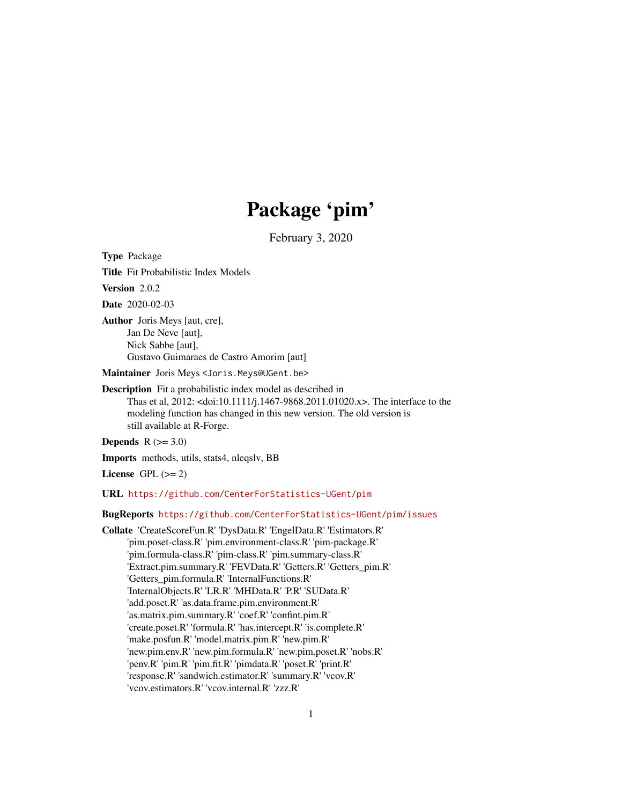# Package 'pim'

February 3, 2020

<span id="page-0-0"></span>Type Package

Title Fit Probabilistic Index Models

Version 2.0.2

Date 2020-02-03

Author Joris Meys [aut, cre], Jan De Neve [aut], Nick Sabbe [aut], Gustavo Guimaraes de Castro Amorim [aut]

Maintainer Joris Meys <Joris.Meys@UGent.be>

Description Fit a probabilistic index model as described in Thas et al, 2012: <doi:10.1111/j.1467-9868.2011.01020.x>. The interface to the modeling function has changed in this new version. The old version is still available at R-Forge.

Depends  $R$  ( $>= 3.0$ )

Imports methods, utils, stats4, nleqslv, BB

License GPL  $(>= 2)$ 

URL <https://github.com/CenterForStatistics-UGent/pim>

## BugReports <https://github.com/CenterForStatistics-UGent/pim/issues>

Collate 'CreateScoreFun.R' 'DysData.R' 'EngelData.R' 'Estimators.R' 'pim.poset-class.R' 'pim.environment-class.R' 'pim-package.R' 'pim.formula-class.R' 'pim-class.R' 'pim.summary-class.R' 'Extract.pim.summary.R' 'FEVData.R' 'Getters.R' 'Getters\_pim.R' 'Getters\_pim.formula.R' 'InternalFunctions.R' 'InternalObjects.R' 'LR.R' 'MHData.R' 'P.R' 'SUData.R' 'add.poset.R' 'as.data.frame.pim.environment.R' 'as.matrix.pim.summary.R' 'coef.R' 'confint.pim.R' 'create.poset.R' 'formula.R' 'has.intercept.R' 'is.complete.R' 'make.posfun.R' 'model.matrix.pim.R' 'new.pim.R' 'new.pim.env.R' 'new.pim.formula.R' 'new.pim.poset.R' 'nobs.R' 'penv.R' 'pim.R' 'pim.fit.R' 'pimdata.R' 'poset.R' 'print.R' 'response.R' 'sandwich.estimator.R' 'summary.R' 'vcov.R' 'vcov.estimators.R' 'vcov.internal.R' 'zzz.R'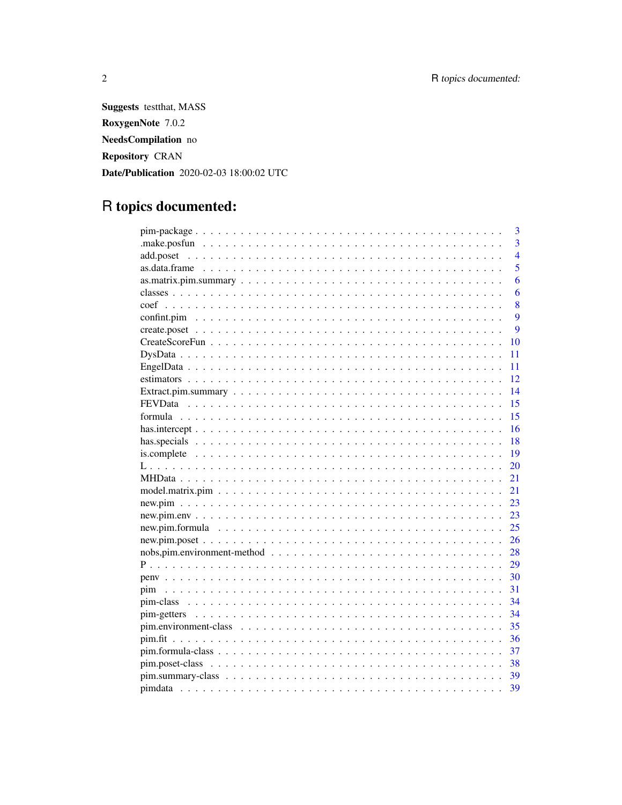**Suggests** testthat, MASS RoxygenNote 7.0.2 NeedsCompilation no Repository CRAN Date/Publication 2020-02-03 18:00:02 UTC

# R topics documented:

|      | 3              |
|------|----------------|
|      | $\overline{3}$ |
|      | $\overline{4}$ |
|      | 5              |
|      | 6              |
|      | 6              |
|      | 8              |
|      | 9              |
|      | 9              |
|      | 10             |
|      | 11             |
|      | 11             |
|      | 12             |
|      | 14             |
|      | 15             |
| 15   |                |
| 16   |                |
| -18  |                |
| - 19 |                |
|      | 20             |
|      | 21             |
| 21   |                |
|      | 23             |
|      | 23             |
|      | 25             |
|      | 26             |
|      | 28             |
|      | 29             |
| 30   |                |
| 31   |                |
| 34   |                |
|      | 34             |
|      |                |
| 36   |                |
| 37   |                |
|      |                |
|      |                |
|      | 39             |

 $\overline{2}$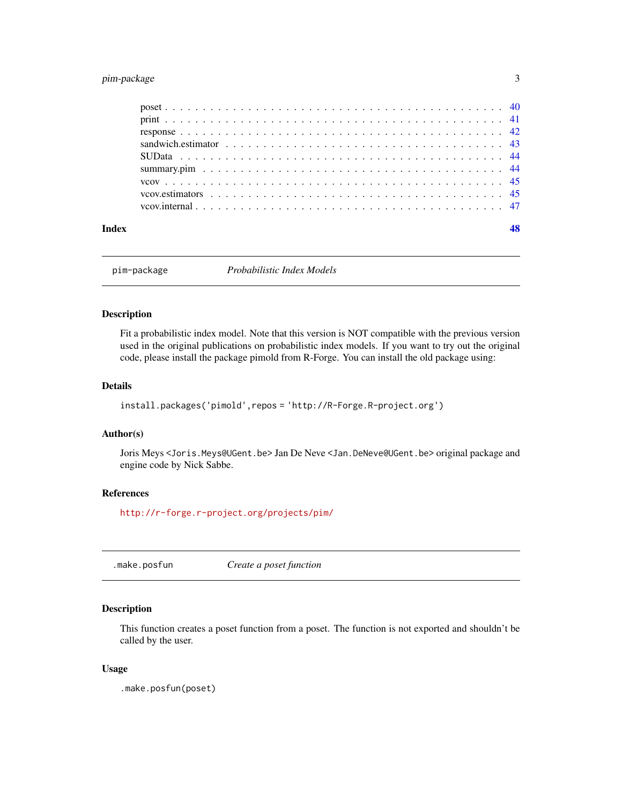## <span id="page-2-0"></span>pim-package 3

| Index |  |
|-------|--|
|       |  |
|       |  |
|       |  |
|       |  |
|       |  |
|       |  |
|       |  |
|       |  |
|       |  |

pim-package *Probabilistic Index Models*

## Description

Fit a probabilistic index model. Note that this version is NOT compatible with the previous version used in the original publications on probabilistic index models. If you want to try out the original code, please install the package pimold from R-Forge. You can install the old package using:

## Details

```
install.packages('pimold',repos = 'http://R-Forge.R-project.org')
```
#### Author(s)

Joris Meys <Joris.Meys@UGent.be> Jan De Neve <Jan.DeNeve@UGent.be> original package and engine code by Nick Sabbe.

## References

<http://r-forge.r-project.org/projects/pim/>

<span id="page-2-1"></span>.make.posfun *Create a poset function*

## Description

This function creates a poset function from a poset. The function is not exported and shouldn't be called by the user.

#### Usage

.make.posfun(poset)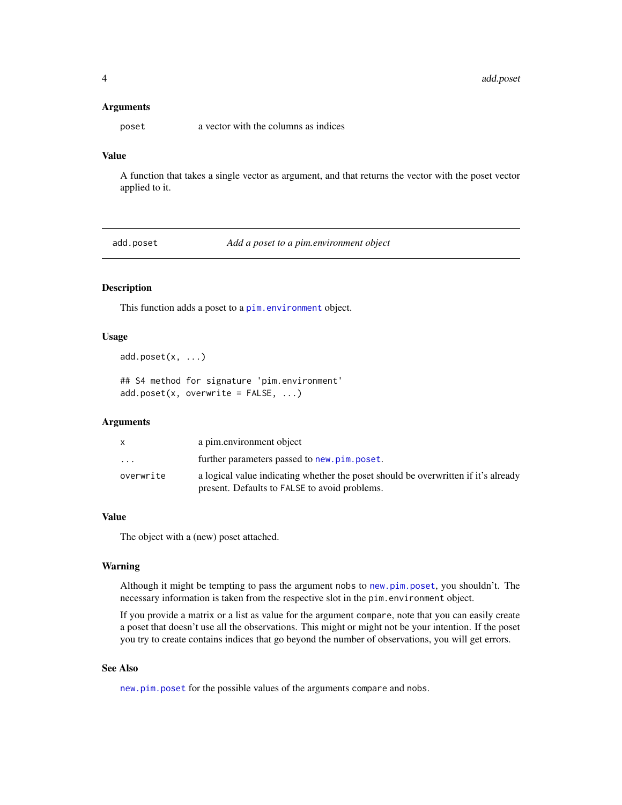#### <span id="page-3-0"></span>Arguments

poset a vector with the columns as indices

## Value

A function that takes a single vector as argument, and that returns the vector with the poset vector applied to it.

<span id="page-3-1"></span>add.poset *Add a poset to a pim.environment object*

## Description

This function adds a poset to a [pim.environment](#page-34-1) object.

#### Usage

```
add.poset(x, ...)
```
## S4 method for signature 'pim.environment'  $add.poset(x, overwrite = FALSE, ...)$ 

#### Arguments

| X         | a pim.environment object                                                                                                            |
|-----------|-------------------------------------------------------------------------------------------------------------------------------------|
| $\cdot$   | further parameters passed to new.pim.poset.                                                                                         |
| overwrite | a logical value indicating whether the poset should be overwritten if it's already<br>present. Defaults to FALSE to avoid problems. |

#### Value

The object with a (new) poset attached.

#### Warning

Although it might be tempting to pass the argument nobs to [new.pim.poset](#page-25-1), you shouldn't. The necessary information is taken from the respective slot in the pim.environment object.

If you provide a matrix or a list as value for the argument compare, note that you can easily create a poset that doesn't use all the observations. This might or might not be your intention. If the poset you try to create contains indices that go beyond the number of observations, you will get errors.

## See Also

[new.pim.poset](#page-25-1) for the possible values of the arguments compare and nobs.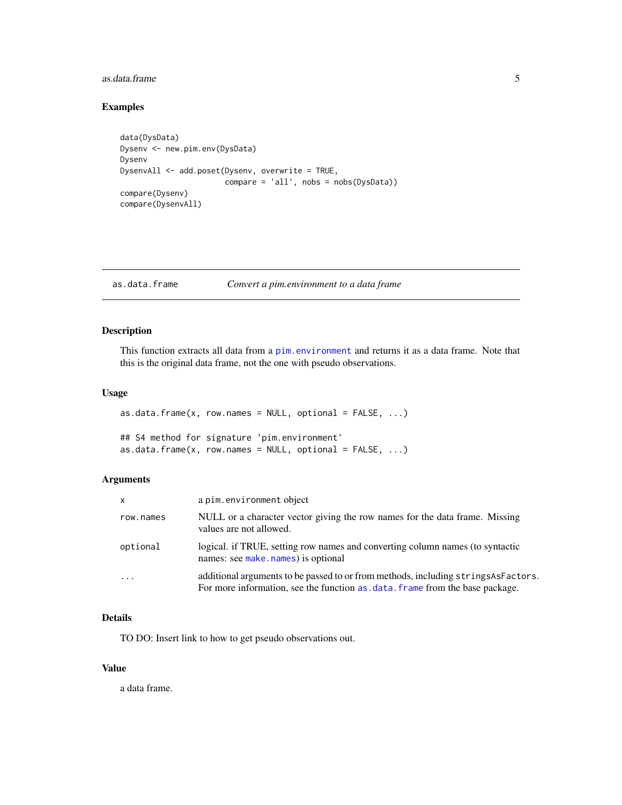#### <span id="page-4-0"></span>as.data.frame 5

## Examples

```
data(DysData)
Dysenv <- new.pim.env(DysData)
Dysenv
DysenvAll <- add.poset(Dysenv, overwrite = TRUE,
                       compare = 'all', nobs = nobs(DysData))
compare(Dysenv)
compare(DysenvAll)
```
## <span id="page-4-1"></span>as.data.frame *Convert a pim.environment to a data frame*

## Description

This function extracts all data from a [pim.environment](#page-34-1) and returns it as a data frame. Note that this is the original data frame, not the one with pseudo observations.

## Usage

```
as.data.frame(x, row.names = NULL, optional = FALSE, ...)
## S4 method for signature 'pim.environment'
as.data.frame(x, row.names = NULL, optional = FALSE, ...)
```
#### Arguments

| $\mathsf{x}$ | a pim.environment object                                                                                                                                              |
|--------------|-----------------------------------------------------------------------------------------------------------------------------------------------------------------------|
| row.names    | NULL or a character vector giving the row names for the data frame. Missing<br>values are not allowed.                                                                |
| optional     | logical. if TRUE, setting row names and converting column names (to syntactic<br>names: see make. names) is optional                                                  |
| $\cdot$      | additional arguments to be passed to or from methods, including strings As Factors.<br>For more information, see the function as . data. frame from the base package. |

## Details

TO DO: Insert link to how to get pseudo observations out.

#### Value

a data frame.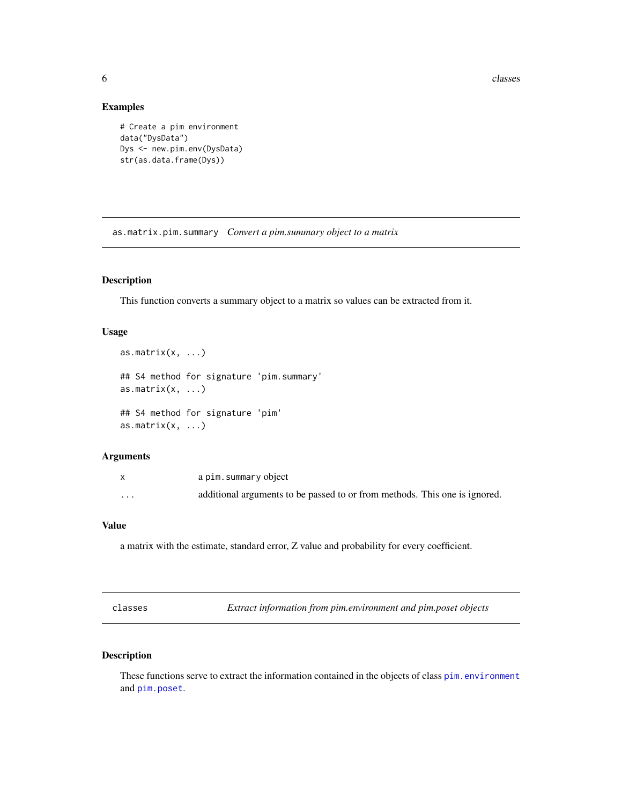<span id="page-5-0"></span>**6** classes and the contract of the classes of the classes of the classes of the classes of the classes of the classes of the classes of the classes of the classes of the classes of the classes of the classes of the classe

## Examples

```
# Create a pim environment
data("DysData")
Dys <- new.pim.env(DysData)
str(as.data.frame(Dys))
```
as.matrix.pim.summary *Convert a pim.summary object to a matrix*

## Description

This function converts a summary object to a matrix so values can be extracted from it.

## Usage

```
as.matrix(x, \ldots)## S4 method for signature 'pim.summary'
as.matrix(x, \ldots)## S4 method for signature 'pim'
as.matrix(x, \ldots)
```
#### Arguments

|          | a pim.summary object                                                       |
|----------|----------------------------------------------------------------------------|
| $\cdots$ | additional arguments to be passed to or from methods. This one is ignored. |

## Value

a matrix with the estimate, standard error, Z value and probability for every coefficient.

| classes |
|---------|
|---------|

classes *Extract information from pim.environment and pim.poset objects*

## <span id="page-5-1"></span>Description

These functions serve to extract the information contained in the objects of class [pim.environment](#page-34-1) and [pim.poset](#page-37-1).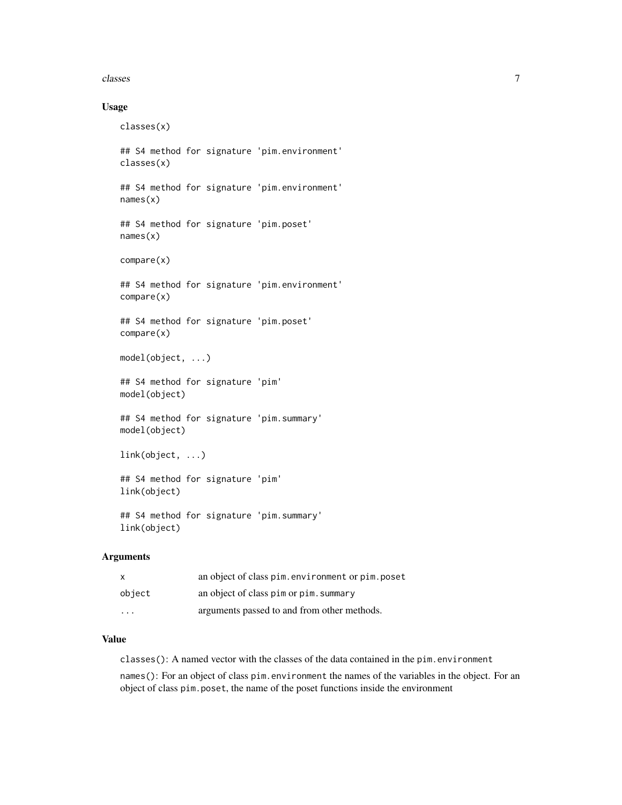#### classes 7

## Usage

```
classes(x)
## S4 method for signature 'pim.environment'
classes(x)
## S4 method for signature 'pim.environment'
names(x)
## S4 method for signature 'pim.poset'
names(x)
compare(x)
## S4 method for signature 'pim.environment'
compare(x)
## S4 method for signature 'pim.poset'
compare(x)
model(object, ...)
## S4 method for signature 'pim'
model(object)
## S4 method for signature 'pim.summary'
model(object)
link(object, ...)
## S4 method for signature 'pim'
link(object)
## S4 method for signature 'pim.summary'
link(object)
```
## Arguments

| $\boldsymbol{\mathsf{x}}$ | an object of class pim.environment or pim.poset |
|---------------------------|-------------------------------------------------|
| object                    | an object of class pim or pim. summary          |
| $\cdot$ $\cdot$ $\cdot$   | arguments passed to and from other methods.     |

## Value

classes(): A named vector with the classes of the data contained in the pim.environment

names(): For an object of class pim.environment the names of the variables in the object. For an object of class pim.poset, the name of the poset functions inside the environment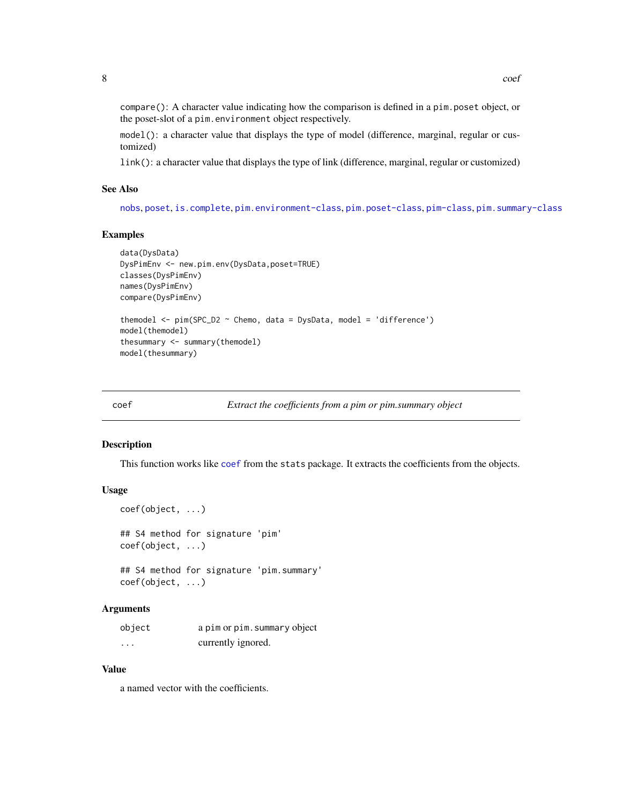<span id="page-7-0"></span>compare(): A character value indicating how the comparison is defined in a pim.poset object, or the poset-slot of a pim.environment object respectively.

model(): a character value that displays the type of model (difference, marginal, regular or customized)

link(): a character value that displays the type of link (difference, marginal, regular or customized)

#### See Also

[nobs](#page-0-0), [poset](#page-39-1), [is.complete](#page-18-1), [pim.environment-class](#page-34-2), [pim.poset-class](#page-37-2), [pim-class](#page-33-1), [pim.summary-class](#page-38-1)

## Examples

```
data(DysData)
DysPimEnv <- new.pim.env(DysData,poset=TRUE)
classes(DysPimEnv)
names(DysPimEnv)
compare(DysPimEnv)
themodel \le pim(SPC_D2 \sim Chemo, data = DysData, model = 'difference')
model(themodel)
thesummary <- summary(themodel)
model(thesummary)
```
<span id="page-7-1"></span>

| coef |  |  | Extract the coefficients from a pim or pim.summary object |  |
|------|--|--|-----------------------------------------------------------|--|
|      |  |  |                                                           |  |

#### Description

This function works like [coef](#page-7-1) from the stats package. It extracts the coefficients from the objects.

#### Usage

```
coef(object, ...)
## S4 method for signature 'pim'
coef(object, ...)
## S4 method for signature 'pim.summary'
coef(object, ...)
```
#### Arguments

| object  | a pim or pim. summary object |
|---------|------------------------------|
| $\cdot$ | currently ignored.           |

#### Value

a named vector with the coefficients.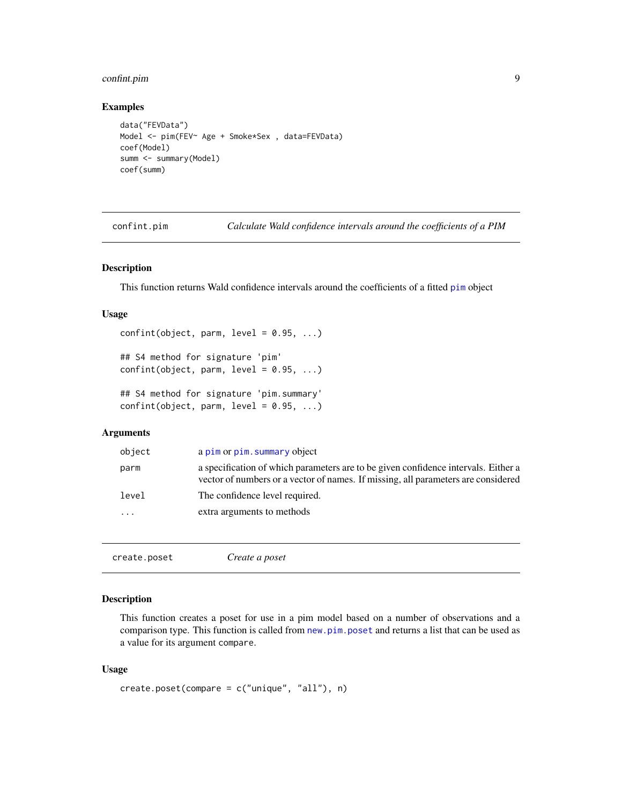## <span id="page-8-0"></span>confint.pim 9

#### Examples

```
data("FEVData")
Model <- pim(FEV~ Age + Smoke*Sex , data=FEVData)
coef(Model)
summ <- summary(Model)
coef(summ)
```
confint.pim *Calculate Wald confidence intervals around the coefficients of a PIM*

## <span id="page-8-2"></span>Description

This function returns Wald confidence intervals around the coefficients of a fitted [pim](#page-30-1) object

#### Usage

```
confint(object, parm, level = 0.95, ...)## S4 method for signature 'pim'
confint(object, parm, level = 0.95, ...)## S4 method for signature 'pim.summary'
confint(object, parm, level = 0.95, ...)
```
#### Arguments

| object   | a pim or pim. summary object                                                                                                                                            |
|----------|-------------------------------------------------------------------------------------------------------------------------------------------------------------------------|
| parm     | a specification of which parameters are to be given confidence intervals. Either a<br>vector of numbers or a vector of names. If missing, all parameters are considered |
| level    | The confidence level required.                                                                                                                                          |
| $\ddots$ | extra arguments to methods                                                                                                                                              |
|          |                                                                                                                                                                         |

<span id="page-8-1"></span>

| create.poset | Create a poset |  |
|--------------|----------------|--|
|              |                |  |

## Description

This function creates a poset for use in a pim model based on a number of observations and a comparison type. This function is called from [new.pim.poset](#page-25-1) and returns a list that can be used as a value for its argument compare.

#### Usage

```
create.poset(compare = c("unique", "all"), n)
```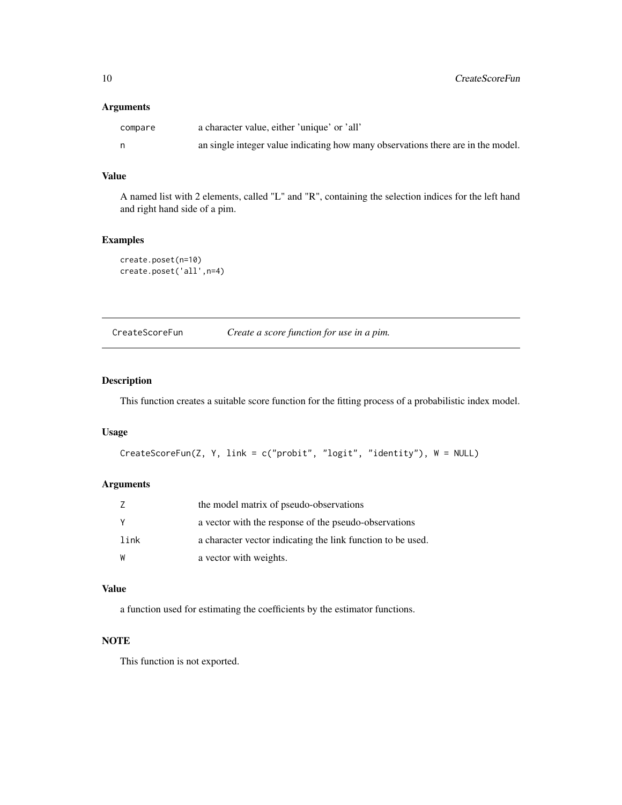## <span id="page-9-0"></span>Arguments

| compare | a character value, either 'unique' or 'all'                                      |
|---------|----------------------------------------------------------------------------------|
| n.      | an single integer value indicating how many observations there are in the model. |

## Value

A named list with 2 elements, called "L" and "R", containing the selection indices for the left hand and right hand side of a pim.

## Examples

```
create.poset(n=10)
create.poset('all',n=4)
```
<span id="page-9-1"></span>CreateScoreFun *Create a score function for use in a pim.*

## Description

This function creates a suitable score function for the fitting process of a probabilistic index model.

## Usage

```
CreateScoreFun(Z, Y, link = c("probit", "logit", "identity"), W = NULL)
```
## Arguments

|      | the model matrix of pseudo-observations                     |
|------|-------------------------------------------------------------|
| Y    | a vector with the response of the pseudo-observations       |
| link | a character vector indicating the link function to be used. |
| W    | a vector with weights.                                      |

## Value

a function used for estimating the coefficients by the estimator functions.

## **NOTE**

This function is not exported.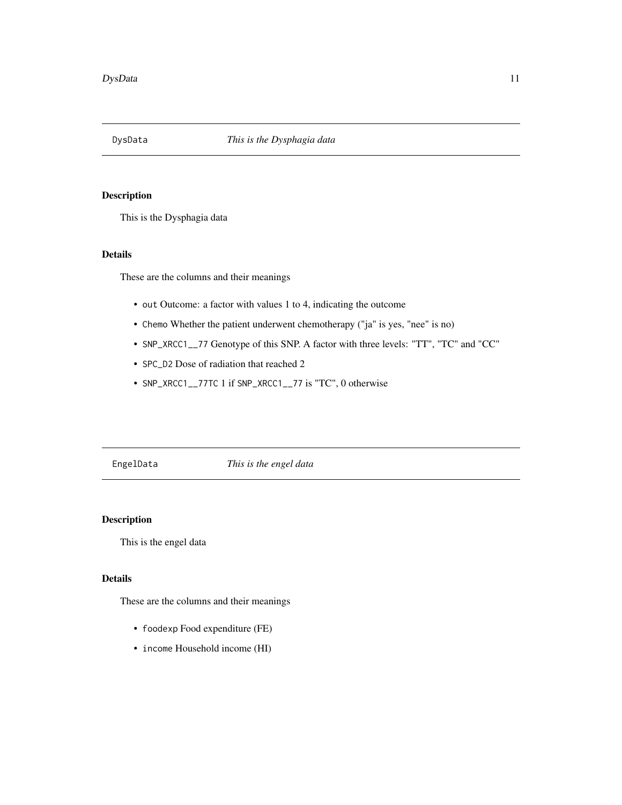<span id="page-10-1"></span><span id="page-10-0"></span>

## Description

This is the Dysphagia data

## Details

These are the columns and their meanings

- out Outcome: a factor with values 1 to 4, indicating the outcome
- Chemo Whether the patient underwent chemotherapy ("ja" is yes, "nee" is no)
- SNP\_XRCC1\_\_77 Genotype of this SNP. A factor with three levels: "TT", "TC" and "CC"
- SPC\_D2 Dose of radiation that reached 2
- SNP\_XRCC1\_\_77TC 1 if SNP\_XRCC1\_\_77 is "TC", 0 otherwise

<span id="page-10-2"></span>EngelData *This is the engel data*

## Description

This is the engel data

## Details

These are the columns and their meanings

- foodexp Food expenditure (FE)
- income Household income (HI)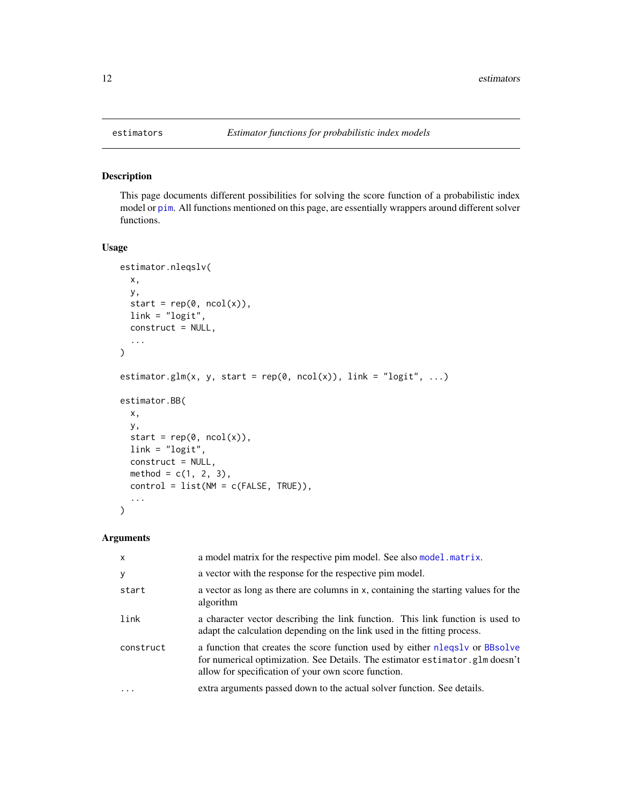<span id="page-11-1"></span><span id="page-11-0"></span>

#### Description

This page documents different possibilities for solving the score function of a probabilistic index model or [pim](#page-30-1). All functions mentioned on this page, are essentially wrappers around different solver functions.

## Usage

```
estimator.nleqslv(
  x,
  y,
  start = rep(0, ncol(x)),link = "logit",construct = NULL,
  ...
\mathcal{L}estimator.glm(x, y, start = rep(0, ncol(x)), link = "logit", ...)
estimator.BB(
  x,
  y,
  start = rep(\emptyset, ncol(x)),link = "logit",
  construct = NULL,
  method = c(1, 2, 3),control = list(NM = c(FALSE, TRUE)),...
\mathcal{L}
```
## Arguments

| $\mathsf{x}$ | a model matrix for the respective pim model. See also model matrix.                                                                                                                                                 |
|--------------|---------------------------------------------------------------------------------------------------------------------------------------------------------------------------------------------------------------------|
| У            | a vector with the response for the respective pim model.                                                                                                                                                            |
| start        | a vector as long as there are columns in x, containing the starting values for the<br>algorithm                                                                                                                     |
| link         | a character vector describing the link function. This link function is used to<br>adapt the calculation depending on the link used in the fitting process.                                                          |
| construct    | a function that creates the score function used by either nlegsly or BBsolve<br>for numerical optimization. See Details. The estimator estimator glm doesn't<br>allow for specification of your own score function. |
| .            | extra arguments passed down to the actual solver function. See details.                                                                                                                                             |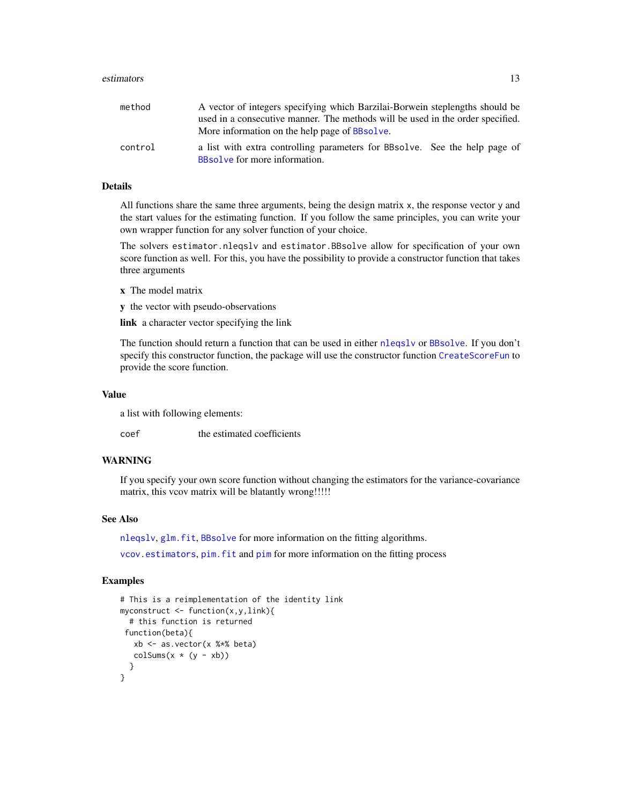#### <span id="page-12-0"></span>estimators and the state of the state of the state of the state of the state of the state of the state of the state of the state of the state of the state of the state of the state of the state of the state of the state of

| method  | A vector of integers specifying which Barzilai-Borwein steplengths should be                                |
|---------|-------------------------------------------------------------------------------------------------------------|
|         | used in a consecutive manner. The methods will be used in the order specified.                              |
|         | More information on the help page of BBsolve.                                                               |
| control | a list with extra controlling parameters for BBsolve. See the help page of<br>BBsolve for more information. |

## Details

All functions share the same three arguments, being the design matrix x, the response vector y and the start values for the estimating function. If you follow the same principles, you can write your own wrapper function for any solver function of your choice.

The solvers estimator.nleqslv and estimator.BBsolve allow for specification of your own score function as well. For this, you have the possibility to provide a constructor function that takes three arguments

- x The model matrix
- y the vector with pseudo-observations

link a character vector specifying the link

The function should return a function that can be used in either [nleqslv](#page-0-0) or [BBsolve](#page-0-0). If you don't specify this constructor function, the package will use the constructor function [CreateScoreFun](#page-9-1) to provide the score function.

#### Value

a list with following elements:

coef the estimated coefficients

## WARNING

If you specify your own score function without changing the estimators for the variance-covariance matrix, this vcov matrix will be blatantly wrong!!!!!

## See Also

[nleqslv](#page-0-0), [glm.fit](#page-0-0), [BBsolve](#page-0-0) for more information on the fitting algorithms.

[vcov.estimators](#page-44-1), [pim.fit](#page-35-1) and [pim](#page-30-1) for more information on the fitting process

#### Examples

```
# This is a reimplementation of the identity link
myconstruct \leftarrow function(x, y, link){
  # this function is returned
function(beta){
   xb \leq as.vector(x % * % * beta)colSums(x * (y - xb))}
}
```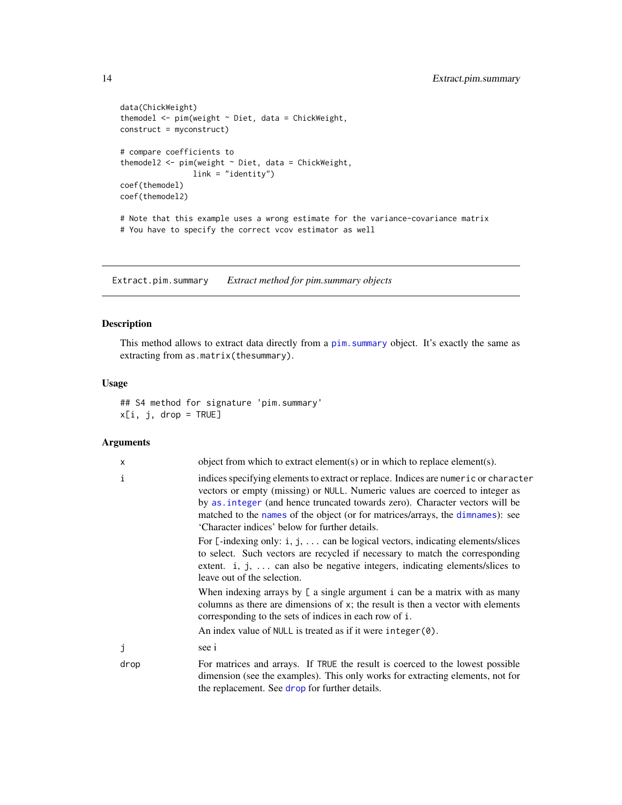```
data(ChickWeight)
themodel <- pim(weight ~ Diet, data = ChickWeight,
construct = myconstruct)
# compare coefficients to
themodel2 <- pim(weight ~ Diet, data = ChickWeight,
               link = "identity")
coef(themodel)
coef(themodel2)
# Note that this example uses a wrong estimate for the variance-covariance matrix
# You have to specify the correct vcov estimator as well
```
Extract.pim.summary *Extract method for pim.summary objects*

## Description

This method allows to extract data directly from a pim. summary object. It's exactly the same as extracting from as.matrix(thesummary).

#### Usage

## S4 method for signature 'pim.summary'  $x[i, j, drop = TRUE]$ 

#### Arguments

| X    | object from which to extract element(s) or in which to replace element(s).                                                                                                                                                                                                                                                                                                             |
|------|----------------------------------------------------------------------------------------------------------------------------------------------------------------------------------------------------------------------------------------------------------------------------------------------------------------------------------------------------------------------------------------|
| i    | indices specifying elements to extract or replace. Indices are numeric or character<br>vectors or empty (missing) or NULL. Numeric values are coerced to integer as<br>by as integer (and hence truncated towards zero). Character vectors will be<br>matched to the names of the object (or for matrices/arrays, the dimnames): see<br>'Character indices' below for further details. |
|      | For $\lbrack$ -indexing only: i, j,  can be logical vectors, indicating elements/slices<br>to select. Such vectors are recycled if necessary to match the corresponding<br>extent. i, j,  can also be negative integers, indicating elements/slices to<br>leave out of the selection.                                                                                                  |
|      | When indexing arrays by $\lfloor$ a single argument i can be a matrix with as many<br>columns as there are dimensions of x; the result is then a vector with elements<br>corresponding to the sets of indices in each row of i.<br>An index value of NULL is treated as if it were integer $(0)$ .                                                                                     |
| J    | see i                                                                                                                                                                                                                                                                                                                                                                                  |
|      |                                                                                                                                                                                                                                                                                                                                                                                        |
| drop | For matrices and arrays. If TRUE the result is coerced to the lowest possible<br>dimension (see the examples). This only works for extracting elements, not for<br>the replacement. See drop for further details.                                                                                                                                                                      |

<span id="page-13-0"></span>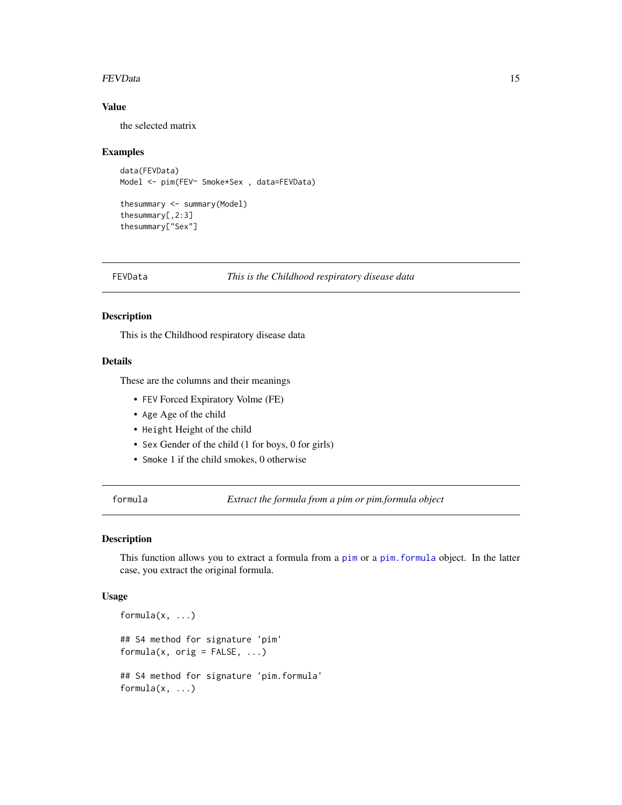#### <span id="page-14-0"></span>FEVData 15

## Value

the selected matrix

#### Examples

```
data(FEVData)
Model <- pim(FEV~ Smoke*Sex , data=FEVData)
thesummary <- summary(Model)
thesummary[,2:3]
thesummary["Sex"]
```
<span id="page-14-2"></span>FEVData *This is the Childhood respiratory disease data*

#### Description

This is the Childhood respiratory disease data

#### Details

These are the columns and their meanings

- FEV Forced Expiratory Volme (FE)
- Age Age of the child
- Height Height of the child
- Sex Gender of the child (1 for boys, 0 for girls)
- Smoke 1 if the child smokes, 0 otherwise

<span id="page-14-1"></span>formula *Extract the formula from a pim or pim.formula object*

#### Description

This function allows you to extract a formula from a [pim](#page-30-1) or a [pim.formula](#page-36-1) object. In the latter case, you extract the original formula.

#### Usage

```
formula(x, ...)
## S4 method for signature 'pim'
formula(x, orig = FALSE, ...)## S4 method for signature 'pim.formula'
formula(x, \ldots)
```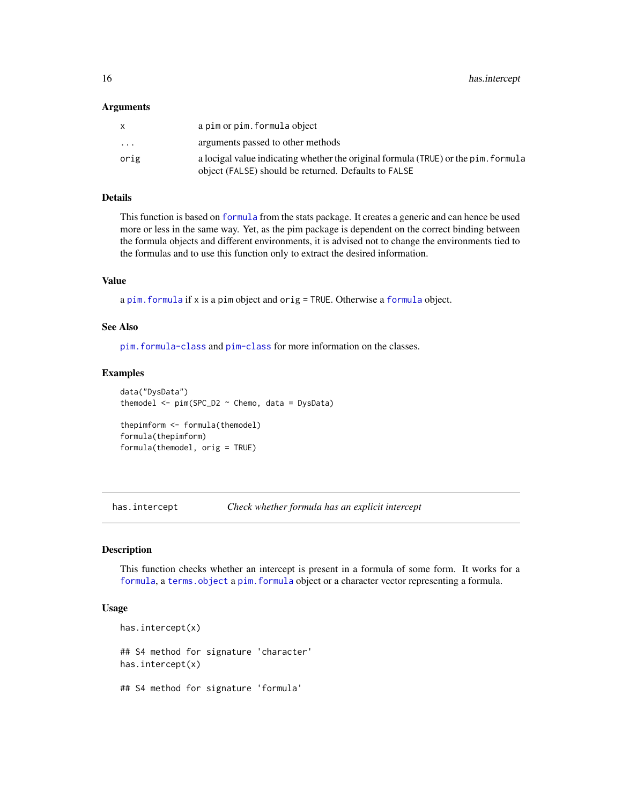#### <span id="page-15-0"></span>Arguments

| X        | a pim or pim. formula object                                                                                                               |
|----------|--------------------------------------------------------------------------------------------------------------------------------------------|
| $\cdots$ | arguments passed to other methods                                                                                                          |
| orig     | a locigal value indicating whether the original formula (TRUE) or the pim. formula<br>object (FALSE) should be returned. Defaults to FALSE |

#### Details

This function is based on [formula](#page-14-1) from the stats package. It creates a generic and can hence be used more or less in the same way. Yet, as the pim package is dependent on the correct binding between the formula objects and different environments, it is advised not to change the environments tied to the formulas and to use this function only to extract the desired information.

#### Value

a [pim.formula](#page-36-1) if x is a pim object and orig = TRUE. Otherwise a [formula](#page-14-1) object.

#### See Also

[pim.formula-class](#page-36-2) and [pim-class](#page-33-1) for more information on the classes.

#### Examples

```
data("DysData")
themodel \le pim(SPC_D2 \sim Chemo, data = DysData)
thepimform <- formula(themodel)
formula(thepimform)
formula(themodel, orig = TRUE)
```
has.intercept *Check whether formula has an explicit intercept*

#### Description

This function checks whether an intercept is present in a formula of some form. It works for a [formula](#page-14-1), a [terms.object](#page-0-0) a [pim.formula](#page-36-1) object or a character vector representing a formula.

#### Usage

```
has.intercept(x)
## S4 method for signature 'character'
has.intercept(x)
## S4 method for signature 'formula'
```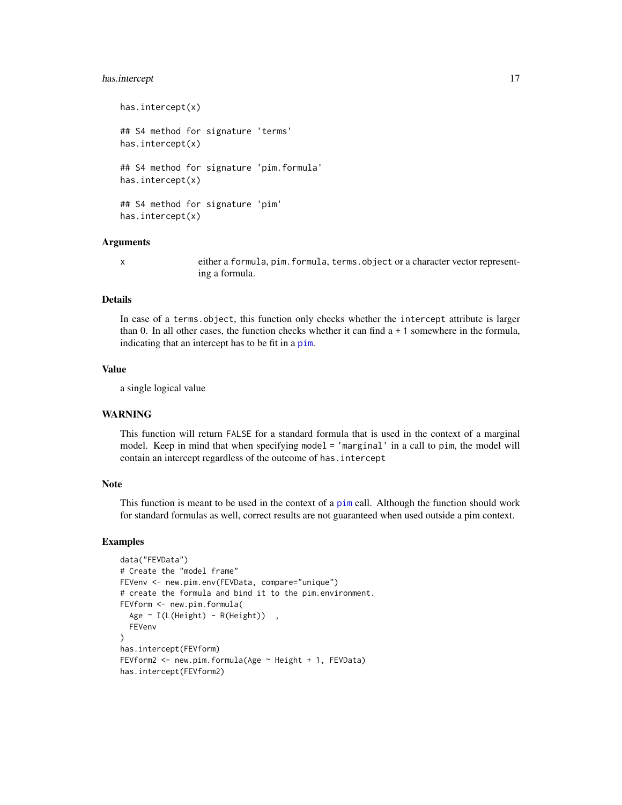## <span id="page-16-0"></span>has.intercept 17

```
has.intercept(x)
## S4 method for signature 'terms'
has.intercept(x)
## S4 method for signature 'pim.formula'
has.intercept(x)
## S4 method for signature 'pim'
has.intercept(x)
```
### Arguments

x either a formula, pim.formula, terms.object or a character vector representing a formula.

#### Details

In case of a terms. object, this function only checks whether the intercept attribute is larger than 0. In all other cases, the function checks whether it can find a + 1 somewhere in the formula, indicating that an intercept has to be fit in a [pim](#page-30-1).

## Value

a single logical value

## WARNING

This function will return FALSE for a standard formula that is used in the context of a marginal model. Keep in mind that when specifying model = 'marginal' in a call to pim, the model will contain an intercept regardless of the outcome of has.intercept

#### Note

This function is meant to be used in the context of a [pim](#page-30-1) call. Although the function should work for standard formulas as well, correct results are not guaranteed when used outside a pim context.

#### Examples

```
data("FEVData")
# Create the "model frame"
FEVenv <- new.pim.env(FEVData, compare="unique")
# create the formula and bind it to the pim.environment.
FEVform <- new.pim.formula(
  Age ~ I(L(Height) - R(Height)),
  FEVenv
)
has.intercept(FEVform)
FEVform2 <- new.pim.formula(Age ~ Height + 1, FEVData)
has.intercept(FEVform2)
```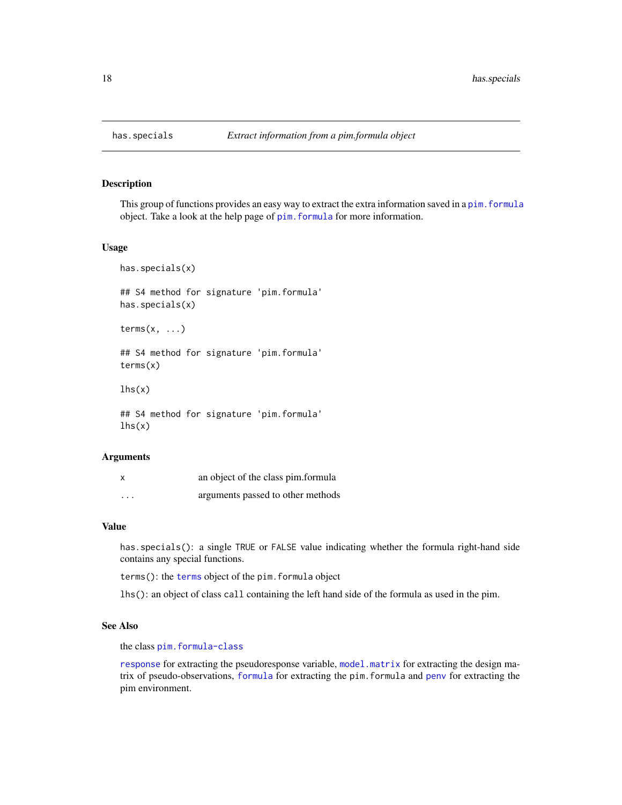<span id="page-17-0"></span>

## <span id="page-17-1"></span>Description

This group of functions provides an easy way to extract the extra information saved in a pim. formula object. Take a look at the help page of [pim.formula](#page-36-1) for more information.

#### Usage

has.specials(x)

## S4 method for signature 'pim.formula' has.specials(x)

 $terms(x, \ldots)$ 

## S4 method for signature 'pim.formula' terms(x)

 $lhs(x)$ 

## S4 method for signature 'pim.formula'  $lhs(x)$ 

#### Arguments

| x                       | an object of the class pim.formula |
|-------------------------|------------------------------------|
| $\cdot$ $\cdot$ $\cdot$ | arguments passed to other methods  |

## Value

has.specials(): a single TRUE or FALSE value indicating whether the formula right-hand side contains any special functions.

terms(): the [terms](#page-17-1) object of the pim.formula object

lhs(): an object of class call containing the left hand side of the formula as used in the pim.

## See Also

the class [pim.formula-class](#page-36-2)

[response](#page-41-1) for extracting the pseudoresponse variable, [model.matrix](#page-20-1) for extracting the design matrix of pseudo-observations, [formula](#page-14-1) for extracting the pim.formula and [penv](#page-29-1) for extracting the pim environment.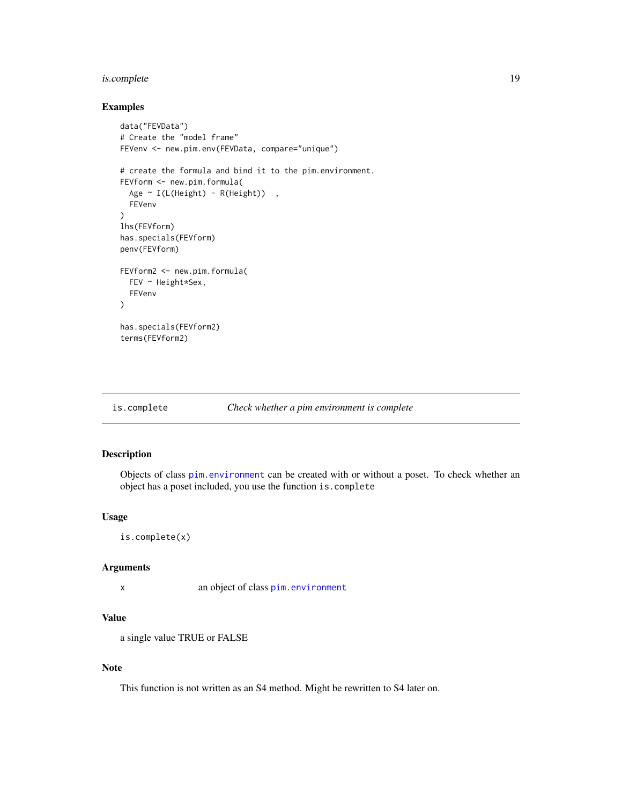## <span id="page-18-0"></span>is.complete 19

## Examples

```
data("FEVData")
# Create the "model frame"
FEVenv <- new.pim.env(FEVData, compare="unique")
# create the formula and bind it to the pim.environment.
FEVform <- new.pim.formula(
  Age ~ I(L(Height) - R(Height)),
  FEVenv
)
lhs(FEVform)
has.specials(FEVform)
penv(FEVform)
FEVform2 <- new.pim.formula(
  FEV ~ Height*Sex,
  FEVenv
\lambdahas.specials(FEVform2)
terms(FEVform2)
```
#### <span id="page-18-1"></span>is.complete *Check whether a pim environment is complete*

## Description

Objects of class [pim.environment](#page-34-1) can be created with or without a poset. To check whether an object has a poset included, you use the function is.complete

## Usage

```
is.complete(x)
```
## Arguments

```
x an object of class pim.environment
```
## Value

a single value TRUE or FALSE

#### Note

This function is not written as an S4 method. Might be rewritten to S4 later on.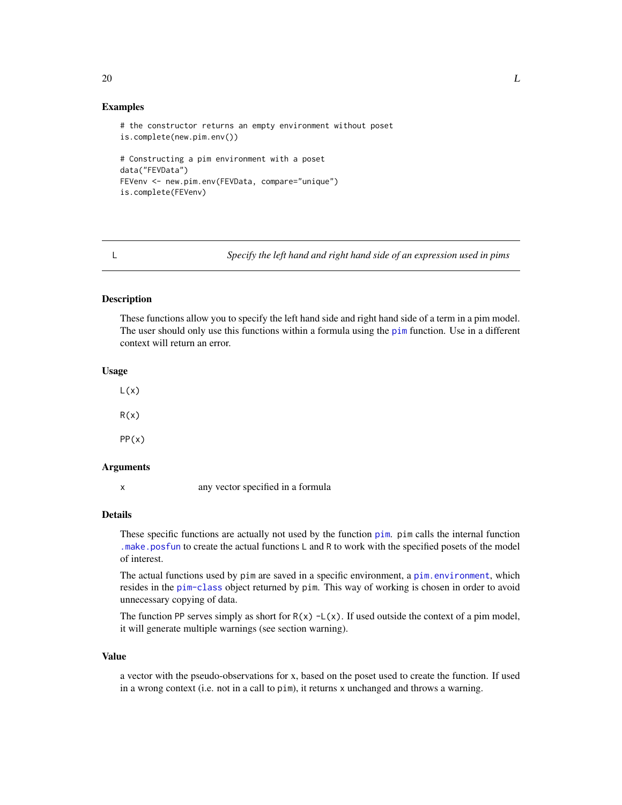## Examples

```
# the constructor returns an empty environment without poset
is.complete(new.pim.env())
# Constructing a pim environment with a poset
data("FEVData")
FEVenv <- new.pim.env(FEVData, compare="unique")
is.complete(FEVenv)
```
<span id="page-19-1"></span>L *Specify the left hand and right hand side of an expression used in pims*

#### <span id="page-19-2"></span>Description

These functions allow you to specify the left hand side and right hand side of a term in a pim model. The user should only use this functions within a formula using the [pim](#page-30-1) function. Use in a different context will return an error.

#### Usage

 $L(x)$  $R(x)$ PP(x)

## Arguments

x any vector specified in a formula

#### Details

These specific functions are actually not used by the function [pim](#page-30-1). pim calls the internal function [.make.posfun](#page-2-1) to create the actual functions L and R to work with the specified posets of the model of interest.

The actual functions used by pim are saved in a specific environment, a [pim.environment](#page-34-1), which resides in the [pim-class](#page-33-1) object returned by pim. This way of working is chosen in order to avoid unnecessary copying of data.

The function PP serves simply as short for  $R(x) - L(x)$ . If used outside the context of a pim model, it will generate multiple warnings (see section warning).

#### Value

a vector with the pseudo-observations for x, based on the poset used to create the function. If used in a wrong context (i.e. not in a call to pim), it returns x unchanged and throws a warning.

#### <span id="page-19-0"></span>20  $L$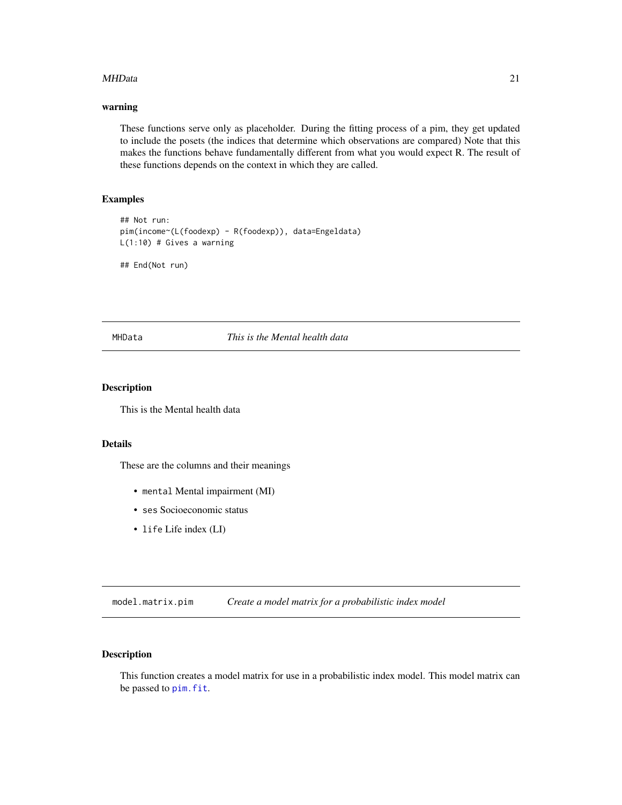#### <span id="page-20-0"></span>MHData 21

## warning

These functions serve only as placeholder. During the fitting process of a pim, they get updated to include the posets (the indices that determine which observations are compared) Note that this makes the functions behave fundamentally different from what you would expect R. The result of these functions depends on the context in which they are called.

## Examples

```
## Not run:
pim(income~(L(foodexp) - R(foodexp)), data=Engeldata)
L(1:10) # Gives a warning
```
## End(Not run)

MHData *This is the Mental health data*

## Description

This is the Mental health data

## Details

These are the columns and their meanings

- mental Mental impairment (MI)
- ses Socioeconomic status
- life Life index (LI)

<span id="page-20-2"></span>model.matrix.pim *Create a model matrix for a probabilistic index model*

## <span id="page-20-1"></span>Description

This function creates a model matrix for use in a probabilistic index model. This model matrix can be passed to [pim.fit](#page-35-1).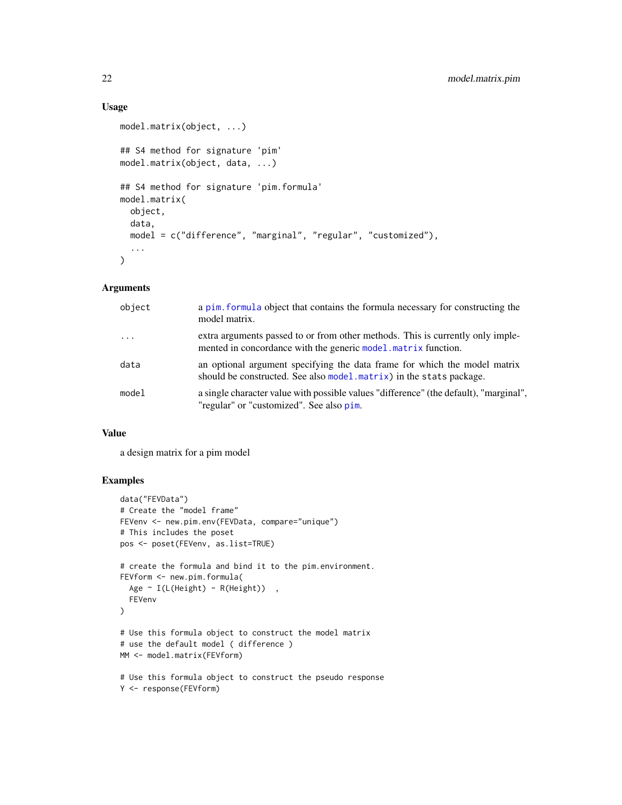## Usage

```
model.matrix(object, ...)
## S4 method for signature 'pim'
model.matrix(object, data, ...)
## S4 method for signature 'pim.formula'
model.matrix(
  object,
 data,
 model = c("difference", "marginal", "regular", "customized"),
  ...
\mathcal{L}
```
## Arguments

| object   | a pim. formula object that contains the formula necessary for constructing the<br>model matrix.                                                          |
|----------|----------------------------------------------------------------------------------------------------------------------------------------------------------|
| $\cdots$ | extra arguments passed to or from other methods. This is currently only imple-<br>mented in concordance with the generic model matrix function.          |
| data     | an optional argument specifying the data frame for which the model matrix<br>should be constructed. See also model $\text{matrix}$ in the stats package. |
| model    | a single character value with possible values "difference" (the default), "marginal",<br>"regular" or "customized". See also pim.                        |

## Value

a design matrix for a pim model

## Examples

```
data("FEVData")
# Create the "model frame"
FEVenv <- new.pim.env(FEVData, compare="unique")
# This includes the poset
pos <- poset(FEVenv, as.list=TRUE)
# create the formula and bind it to the pim.environment.
FEVform <- new.pim.formula(
  Age ~ I(L(Height) - R(Height)) ,
  FEVenv
\lambda# Use this formula object to construct the model matrix
# use the default model ( difference )
MM <- model.matrix(FEVform)
# Use this formula object to construct the pseudo response
Y <- response(FEVform)
```
<span id="page-21-0"></span>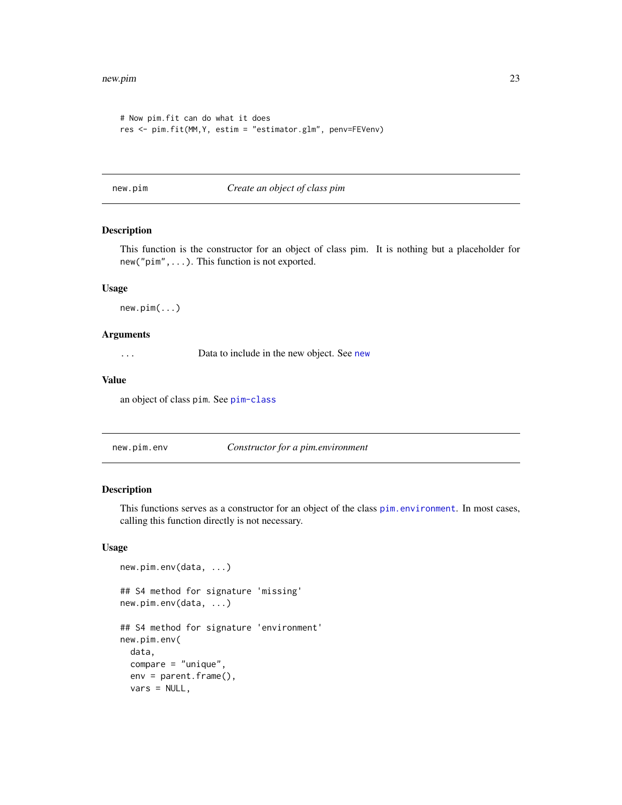```
# Now pim.fit can do what it does
res <- pim.fit(MM,Y, estim = "estimator.glm", penv=FEVenv)
```
new.pim *Create an object of class pim*

## Description

This function is the constructor for an object of class pim. It is nothing but a placeholder for new("pim",...). This function is not exported.

#### Usage

new.pim(...)

#### Arguments

... Data to include in the new object. See [new](#page-0-0)

#### Value

an object of class pim. See [pim-class](#page-33-1)

<span id="page-22-1"></span>new.pim.env *Constructor for a pim.environment*

Description

This functions serves as a constructor for an object of the class [pim.environment](#page-34-1). In most cases, calling this function directly is not necessary.

## Usage

```
new.pim.env(data, ...)
## S4 method for signature 'missing'
new.pim.env(data, ...)
## S4 method for signature 'environment'
new.pim.env(
  data,
  compare = "unique",
  env = parent.frame(),
  vars = NULL,
```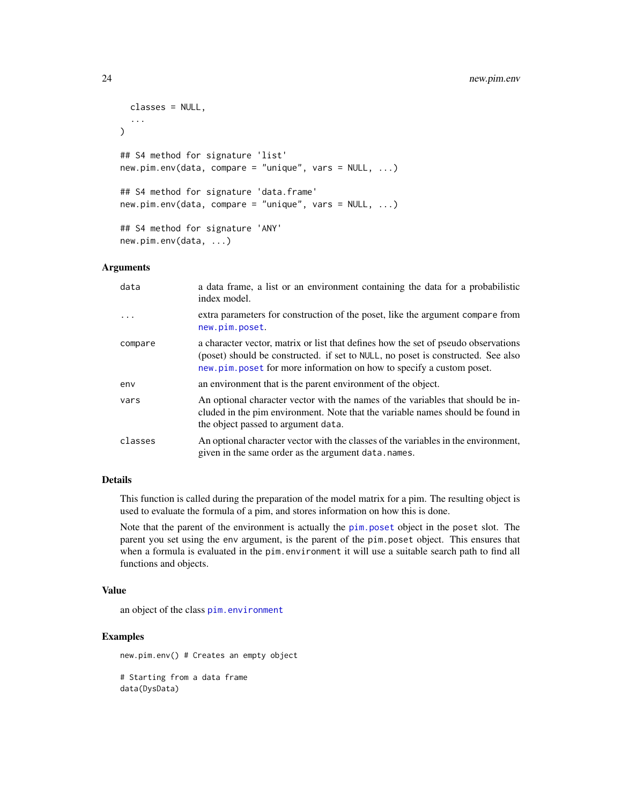## <span id="page-23-0"></span>24 new.pim.env

```
classes = NULL,
  ...
\lambda## S4 method for signature 'list'
new.pim.env(data, compare = "unique", vars = NULL, ...)
## S4 method for signature 'data.frame'
new.pim.env(data, compare = "unique", vars = NULL, ...)
## S4 method for signature 'ANY'
new.pim.env(data, ...)
```
## Arguments

| data       | a data frame, a list or an environment containing the data for a probabilistic<br>index model.                                                                                                                                                 |
|------------|------------------------------------------------------------------------------------------------------------------------------------------------------------------------------------------------------------------------------------------------|
| $\ddots$ . | extra parameters for construction of the poset, like the argument compare from<br>new.pim.poset.                                                                                                                                               |
| compare    | a character vector, matrix or list that defines how the set of pseudo observations<br>(poset) should be constructed. if set to NULL, no poset is constructed. See also<br>new.pim.poset for more information on how to specify a custom poset. |
| env        | an environment that is the parent environment of the object.                                                                                                                                                                                   |
| vars       | An optional character vector with the names of the variables that should be in-<br>cluded in the pim environment. Note that the variable names should be found in<br>the object passed to argument data.                                       |
| classes    | An optional character vector with the classes of the variables in the environment,<br>given in the same order as the argument data.names.                                                                                                      |

## Details

This function is called during the preparation of the model matrix for a pim. The resulting object is used to evaluate the formula of a pim, and stores information on how this is done.

Note that the parent of the environment is actually the [pim.poset](#page-37-1) object in the poset slot. The parent you set using the env argument, is the parent of the pim.poset object. This ensures that when a formula is evaluated in the pim.environment it will use a suitable search path to find all functions and objects.

#### Value

an object of the class [pim.environment](#page-34-1)

## Examples

new.pim.env() # Creates an empty object

# Starting from a data frame data(DysData)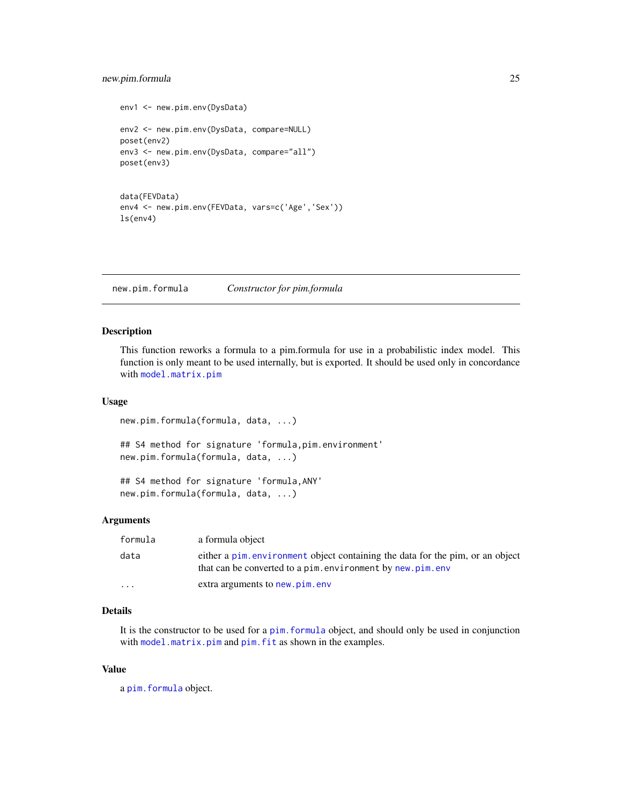## <span id="page-24-0"></span>new.pim.formula 25

```
env1 <- new.pim.env(DysData)
env2 <- new.pim.env(DysData, compare=NULL)
poset(env2)
env3 <- new.pim.env(DysData, compare="all")
poset(env3)
data(FEVData)
env4 <- new.pim.env(FEVData, vars=c('Age','Sex'))
ls(env4)
```
<span id="page-24-1"></span>new.pim.formula *Constructor for pim.formula*

## Description

This function reworks a formula to a pim.formula for use in a probabilistic index model. This function is only meant to be used internally, but is exported. It should be used only in concordance with [model.matrix.pim](#page-20-2)

#### Usage

new.pim.formula(formula, data, ...)

## S4 method for signature 'formula,pim.environment' new.pim.formula(formula, data, ...)

## S4 method for signature 'formula,ANY' new.pim.formula(formula, data, ...)

#### Arguments

| formula  | a formula object                                                                                                                            |
|----------|---------------------------------------------------------------------------------------------------------------------------------------------|
| data     | either a pim. environment object containing the data for the pim, or an object<br>that can be converted to a pim.environment by new.pim.env |
| $\cdots$ | extra arguments to new.pim.env                                                                                                              |

## Details

It is the constructor to be used for a [pim.formula](#page-36-1) object, and should only be used in conjunction with [model.matrix.pim](#page-20-2) and [pim.fit](#page-35-1) as shown in the examples.

## Value

a [pim.formula](#page-36-1) object.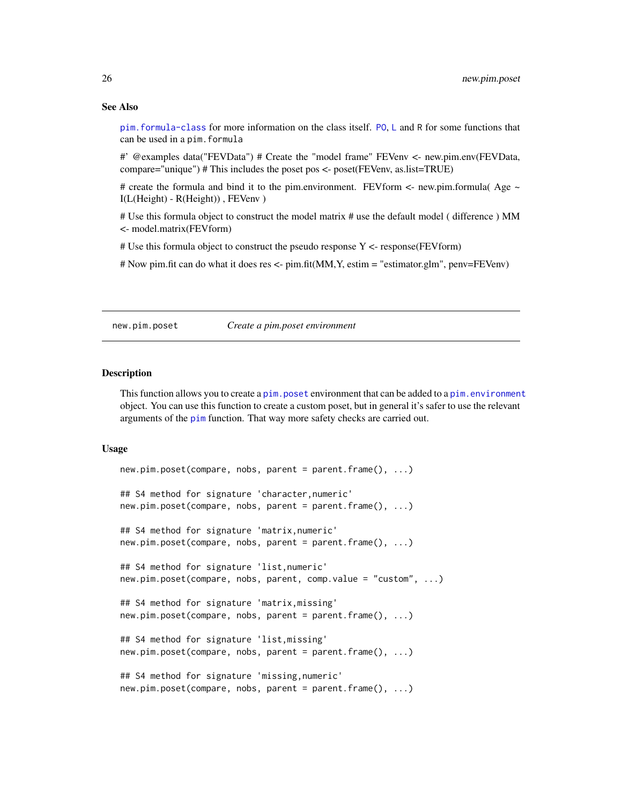#### See Also

[pim.formula-class](#page-36-2) for more information on the class itself. [PO](#page-28-1), [L](#page-19-1) and R for some functions that can be used in a pim.formula

#' @examples data("FEVData") # Create the "model frame" FEVenv <- new.pim.env(FEVData, compare="unique") # This includes the poset pos <- poset(FEVenv, as.list=TRUE)

# create the formula and bind it to the pim.environment. FEVform  $\lt$ - new.pim.formula( Age  $\lt$ I(L(Height) - R(Height)) , FEVenv )

# Use this formula object to construct the model matrix # use the default model ( difference ) MM <- model.matrix(FEVform)

# Use this formula object to construct the pseudo response Y <- response(FEVform)

# Now pim.fit can do what it does res <- pim.fit(MM,Y, estim = "estimator.glm", penv=FEVenv)

<span id="page-25-1"></span>new.pim.poset *Create a pim.poset environment*

#### Description

This function allows you to create a pim. poset environment that can be added to a pim. environment object. You can use this function to create a custom poset, but in general it's safer to use the relevant arguments of the [pim](#page-30-1) function. That way more safety checks are carried out.

#### Usage

```
new.pim.poset(compare, nobs, parent = parent.frame(), ...)
## S4 method for signature 'character,numeric'
new.pim.poset(compare, nobs, parent = parent.frame(), ...)
## S4 method for signature 'matrix,numeric'
new.pim.poset(compare, nobs, parent = parent.frame(), ...)
## S4 method for signature 'list,numeric'
new.pim.poset(compare, nobs, parent, comp.value = "custom", ...)
## S4 method for signature 'matrix,missing'
new.pim.poset(compare, nobs, parent = parent.frame(), ...)
## S4 method for signature 'list,missing'
new.pim.poset(compare, nobs, parent = parent.frame(), ...)
## S4 method for signature 'missing,numeric'
new.pim.poset(compare, nobs, parent = parent.frame(), ...)
```
<span id="page-25-0"></span>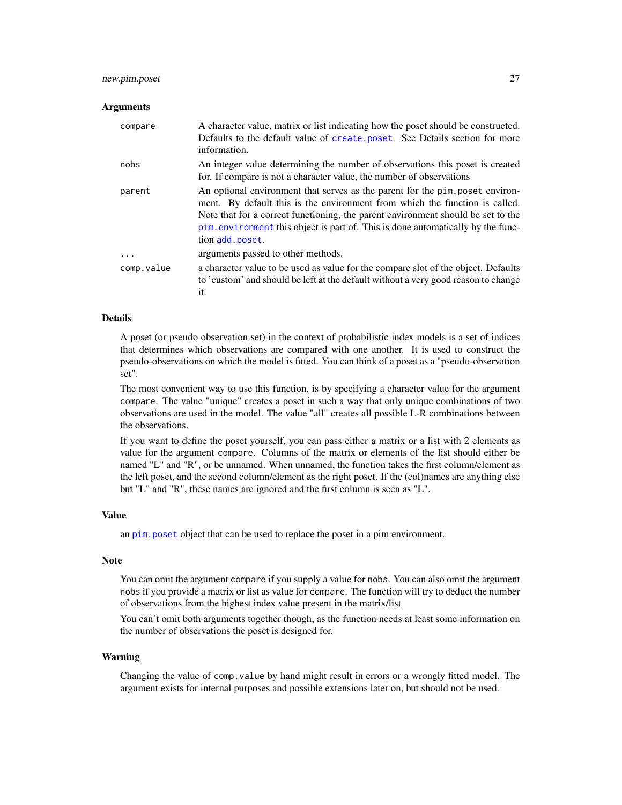#### <span id="page-26-0"></span>new.pim.poset 27

#### Arguments

| compare    | A character value, matrix or list indicating how the poset should be constructed.<br>Defaults to the default value of create poset. See Details section for more<br>information.                                                                                                                                                                       |
|------------|--------------------------------------------------------------------------------------------------------------------------------------------------------------------------------------------------------------------------------------------------------------------------------------------------------------------------------------------------------|
| nobs       | An integer value determining the number of observations this poset is created<br>for. If compare is not a character value, the number of observations                                                                                                                                                                                                  |
| parent     | An optional environment that serves as the parent for the pim poset environ-<br>ment. By default this is the environment from which the function is called.<br>Note that for a correct functioning, the parent environment should be set to the<br>pim. environment this object is part of. This is done automatically by the func-<br>tion add.poset. |
| $\ddots$ . | arguments passed to other methods.                                                                                                                                                                                                                                                                                                                     |
| comp.value | a character value to be used as value for the compare slot of the object. Defaults<br>to 'custom' and should be left at the default without a very good reason to change<br>it.                                                                                                                                                                        |

#### Details

A poset (or pseudo observation set) in the context of probabilistic index models is a set of indices that determines which observations are compared with one another. It is used to construct the pseudo-observations on which the model is fitted. You can think of a poset as a "pseudo-observation set".

The most convenient way to use this function, is by specifying a character value for the argument compare. The value "unique" creates a poset in such a way that only unique combinations of two observations are used in the model. The value "all" creates all possible L-R combinations between the observations.

If you want to define the poset yourself, you can pass either a matrix or a list with 2 elements as value for the argument compare. Columns of the matrix or elements of the list should either be named "L" and "R", or be unnamed. When unnamed, the function takes the first column/element as the left poset, and the second column/element as the right poset. If the (col)names are anything else but "L" and "R", these names are ignored and the first column is seen as "L".

#### Value

an [pim.poset](#page-37-1) object that can be used to replace the poset in a pim environment.

#### **Note**

You can omit the argument compare if you supply a value for nobs. You can also omit the argument nobs if you provide a matrix or list as value for compare. The function will try to deduct the number of observations from the highest index value present in the matrix/list

You can't omit both arguments together though, as the function needs at least some information on the number of observations the poset is designed for.

#### Warning

Changing the value of comp.value by hand might result in errors or a wrongly fitted model. The argument exists for internal purposes and possible extensions later on, but should not be used.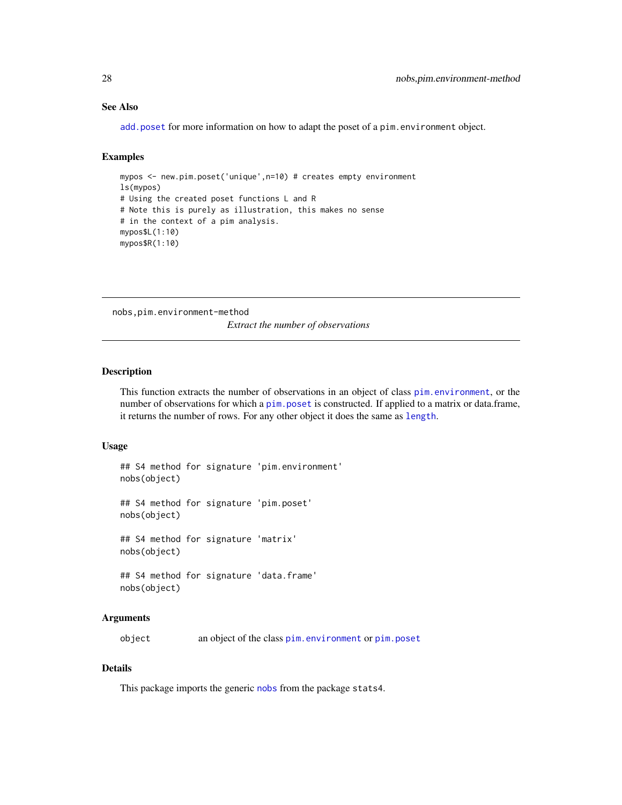## See Also

[add.poset](#page-3-1) for more information on how to adapt the poset of a pim.environment object.

## Examples

```
mypos <- new.pim.poset('unique',n=10) # creates empty environment
ls(mypos)
# Using the created poset functions L and R
# Note this is purely as illustration, this makes no sense
# in the context of a pim analysis.
mypos$L(1:10)
mypos$R(1:10)
```
nobs,pim.environment-method

*Extract the number of observations*

## Description

This function extracts the number of observations in an object of class [pim.environment](#page-34-1), or the number of observations for which a pim. poset is constructed. If applied to a matrix or data.frame, it returns the number of rows. For any other object it does the same as [length](#page-0-0).

#### Usage

```
## S4 method for signature 'pim.environment'
nobs(object)
## S4 method for signature 'pim.poset'
nobs(object)
## S4 method for signature 'matrix'
nobs(object)
## S4 method for signature 'data.frame'
nobs(object)
```
#### Arguments

object an object of the class [pim.environment](#page-34-1) or [pim.poset](#page-37-1)

## Details

This package imports the generic [nobs](#page-0-0) from the package stats4.

<span id="page-27-0"></span>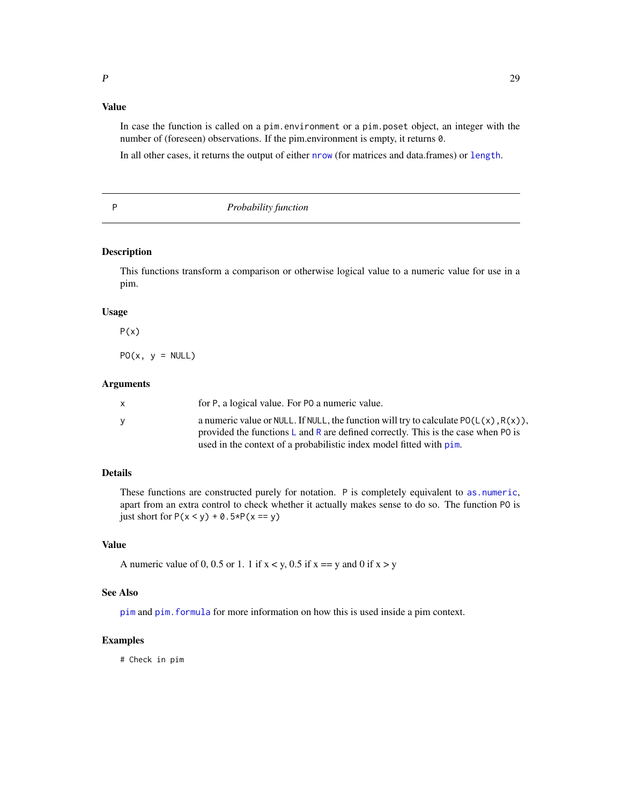## <span id="page-28-0"></span>Value

In case the function is called on a pim.environment or a pim.poset object, an integer with the number of (foreseen) observations. If the pim.environment is empty, it returns 0.

In all other cases, it returns the output of either [nrow](#page-0-0) (for matrices and data.frames) or [length](#page-0-0).

<span id="page-28-2"></span>

P *Probability function*

## <span id="page-28-1"></span>Description

This functions transform a comparison or otherwise logical value to a numeric value for use in a pim.

#### Usage

```
P(x)
```
 $PO(x, y = NULL)$ 

#### Arguments

| X | for P, a logical value. For PO a numeric value.                                                                                                                              |
|---|------------------------------------------------------------------------------------------------------------------------------------------------------------------------------|
| V | a numeric value or NULL. If NULL, the function will try to calculate $PO(L(x), R(x))$ ,<br>provided the functions L and R are defined correctly. This is the case when P0 is |
|   | used in the context of a probabilistic index model fitted with pim.                                                                                                          |

## Details

These functions are constructed purely for notation. P is completely equivalent to [as.numeric](#page-0-0), apart from an extra control to check whether it actually makes sense to do so. The function PO is just short for  $P(x < y) + 0.5 \times P(x == y)$ 

## Value

A numeric value of 0, 0.5 or 1. 1 if  $x < y$ , 0.5 if  $x == y$  and 0 if  $x > y$ 

#### See Also

[pim](#page-30-1) and [pim.formula](#page-36-1) for more information on how this is used inside a pim context.

#### Examples

# Check in pim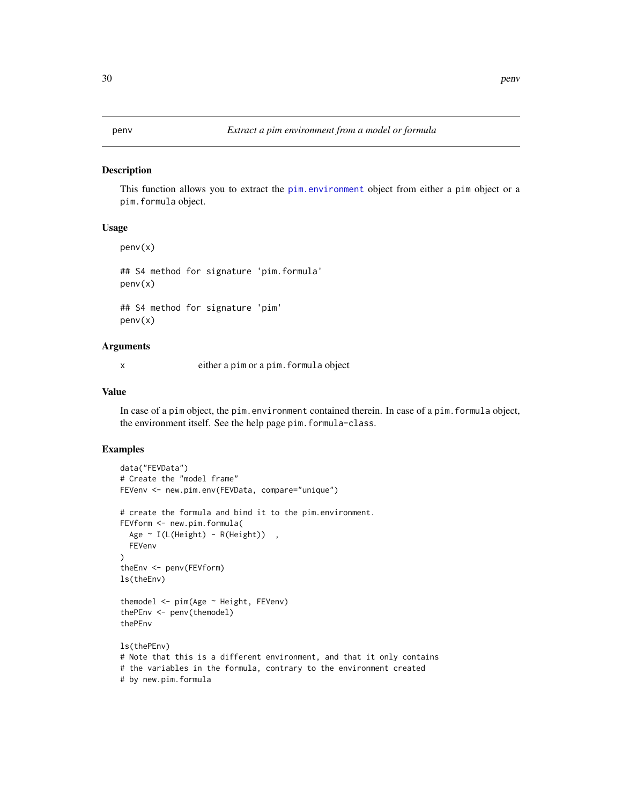#### <span id="page-29-1"></span><span id="page-29-0"></span>Description

This function allows you to extract the [pim.environment](#page-34-1) object from either a pim object or a pim.formula object.

#### Usage

penv(x)

## S4 method for signature 'pim.formula' penv(x)

## S4 method for signature 'pim' penv(x)

## Arguments

x either a pim or a pim.formula object

## Value

In case of a pim object, the pim.environment contained therein. In case of a pim.formula object, the environment itself. See the help page pim.formula-class.

#### Examples

```
data("FEVData")
# Create the "model frame"
FEVenv <- new.pim.env(FEVData, compare="unique")
# create the formula and bind it to the pim.environment.
FEVform <- new.pim.formula(
  Age ~ I(L(Height) - R(Height)) ,
  FEVenv
\lambdatheEnv <- penv(FEVform)
ls(theEnv)
themodel <- pim(Age ~ Height, FEVenv)
thePEnv <- penv(themodel)
thePEnv
ls(thePEnv)
# Note that this is a different environment, and that it only contains
# the variables in the formula, contrary to the environment created
# by new.pim.formula
```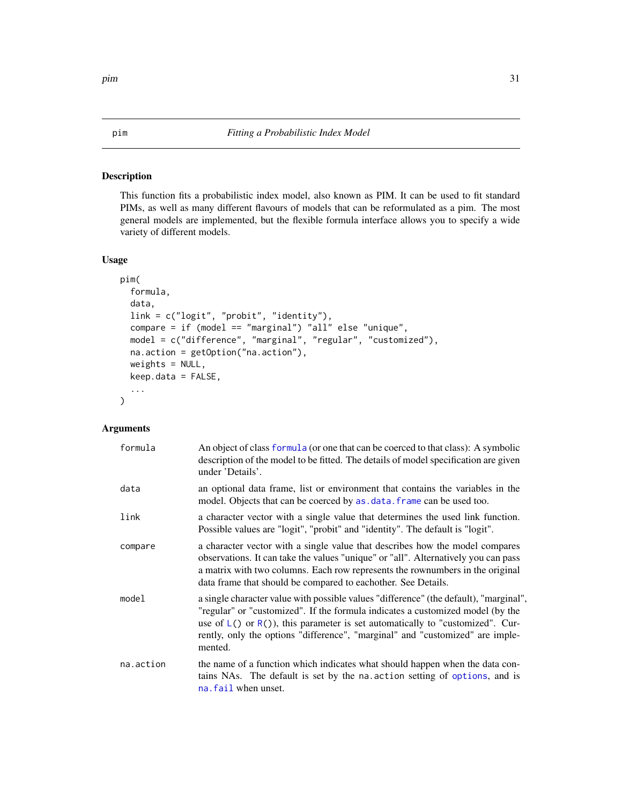#### <span id="page-30-1"></span><span id="page-30-0"></span>Description

This function fits a probabilistic index model, also known as PIM. It can be used to fit standard PIMs, as well as many different flavours of models that can be reformulated as a pim. The most general models are implemented, but the flexible formula interface allows you to specify a wide variety of different models.

#### Usage

```
pim(
  formula,
  data,
  link = c("logit", "probit", "identity"),
  compare = if (model == "marginal") "all" else "unique",
  model = c("difference", "marginal", "regular", "customized"),
  na.action = getOption("na.action"),
  weights = NULL,
  keep.data = FALSE,
  ...
\mathcal{L}
```
## Arguments

| formula   | An object of class formula (or one that can be coerced to that class): A symbolic<br>description of the model to be fitted. The details of model specification are given<br>under 'Details'.                                                                                                                                                             |
|-----------|----------------------------------------------------------------------------------------------------------------------------------------------------------------------------------------------------------------------------------------------------------------------------------------------------------------------------------------------------------|
| data      | an optional data frame, list or environment that contains the variables in the<br>model. Objects that can be coerced by as . data. frame can be used too.                                                                                                                                                                                                |
| link      | a character vector with a single value that determines the used link function.<br>Possible values are "logit", "probit" and "identity". The default is "logit".                                                                                                                                                                                          |
| compare   | a character vector with a single value that describes how the model compares<br>observations. It can take the values "unique" or "all". Alternatively you can pass<br>a matrix with two columns. Each row represents the rownumbers in the original<br>data frame that should be compared to eachother. See Details.                                     |
| model     | a single character value with possible values "difference" (the default), "marginal",<br>"regular" or "customized". If the formula indicates a customized model (by the<br>use of $L()$ or $R()$ , this parameter is set automatically to "customized". Cur-<br>rently, only the options "difference", "marginal" and "customized" are imple-<br>mented. |
| na.action | the name of a function which indicates what should happen when the data con-<br>tains NAs. The default is set by the na. action setting of options, and is<br>na. fail when unset.                                                                                                                                                                       |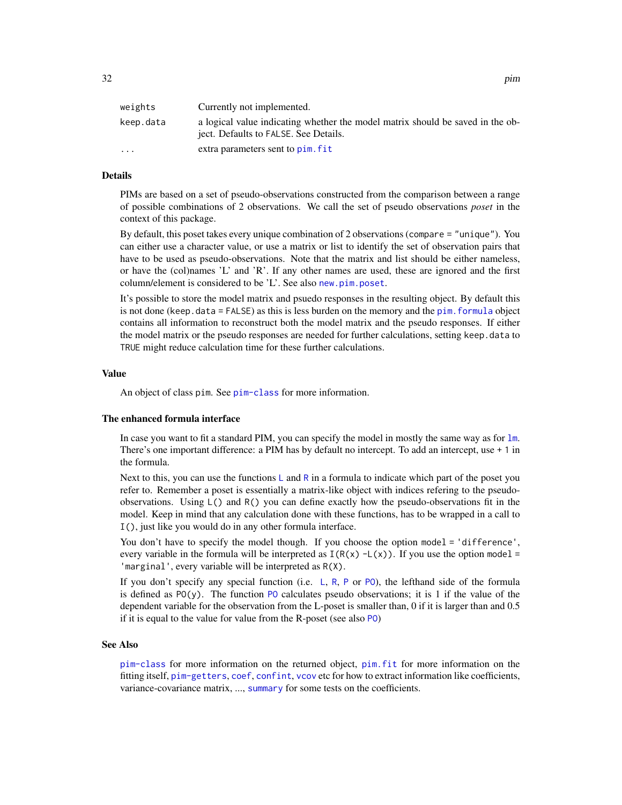<span id="page-31-0"></span>

| weights   | Currently not implemented.                                                                                              |
|-----------|-------------------------------------------------------------------------------------------------------------------------|
| keep.data | a logical value indicating whether the model matrix should be saved in the ob-<br>ject. Defaults to FALSE. See Details. |
| $\ddotsc$ | extra parameters sent to pim. fit                                                                                       |

## Details

PIMs are based on a set of pseudo-observations constructed from the comparison between a range of possible combinations of 2 observations. We call the set of pseudo observations *poset* in the context of this package.

By default, this poset takes every unique combination of 2 observations (compare = "unique"). You can either use a character value, or use a matrix or list to identify the set of observation pairs that have to be used as pseudo-observations. Note that the matrix and list should be either nameless, or have the (col)names 'L' and 'R'. If any other names are used, these are ignored and the first column/element is considered to be 'L'. See also [new.pim.poset](#page-25-1).

It's possible to store the model matrix and psuedo responses in the resulting object. By default this is not done (keep.data = FALSE) as this is less burden on the memory and the [pim.formula](#page-36-1) object contains all information to reconstruct both the model matrix and the pseudo responses. If either the model matrix or the pseudo responses are needed for further calculations, setting keep. data to TRUE might reduce calculation time for these further calculations.

#### Value

An object of class pim. See [pim-class](#page-33-1) for more information.

## The enhanced formula interface

In case you want to fit a standard PIM, you can specify the model in mostly the same way as for  $1m$ . There's one important difference: a PIM has by default no intercept. To add an intercept, use + 1 in the formula.

Next to this, you can use the functions  $\mathsf{L}$  $\mathsf{L}$  $\mathsf{L}$  and [R](#page-19-2) in a formula to indicate which part of the poset you refer to. Remember a poset is essentially a matrix-like object with indices refering to the pseudoobservations. Using L() and R() you can define exactly how the pseudo-observations fit in the model. Keep in mind that any calculation done with these functions, has to be wrapped in a call to I(), just like you would do in any other formula interface.

You don't have to specify the model though. If you choose the option model = 'difference', every variable in the formula will be interpreted as  $I(R(x) - L(x))$ . If you use the option model = 'marginal', every variable will be interpreted as R(X).

If you don't specify any special function (i.e.  $\overline{L}$  $\overline{L}$  $\overline{L}$ , [R](#page-19-2), [P](#page-28-2) or P0), the lefthand side of the formula is defined as  $PO(y)$  $PO(y)$ . The function PO calculates pseudo observations; it is 1 if the value of the dependent variable for the observation from the L-poset is smaller than, 0 if it is larger than and 0.5 if it is equal to the value for value from the R-poset (see also [PO](#page-28-1))

#### See Also

[pim-class](#page-33-1) for more information on the returned object, [pim.fit](#page-35-1) for more information on the fitting itself, [pim-getters](#page-33-2), [coef](#page-7-1), [confint](#page-8-2), [vcov](#page-44-2) etc for how to extract information like coefficients, variance-covariance matrix, ..., [summary](#page-43-1) for some tests on the coefficients.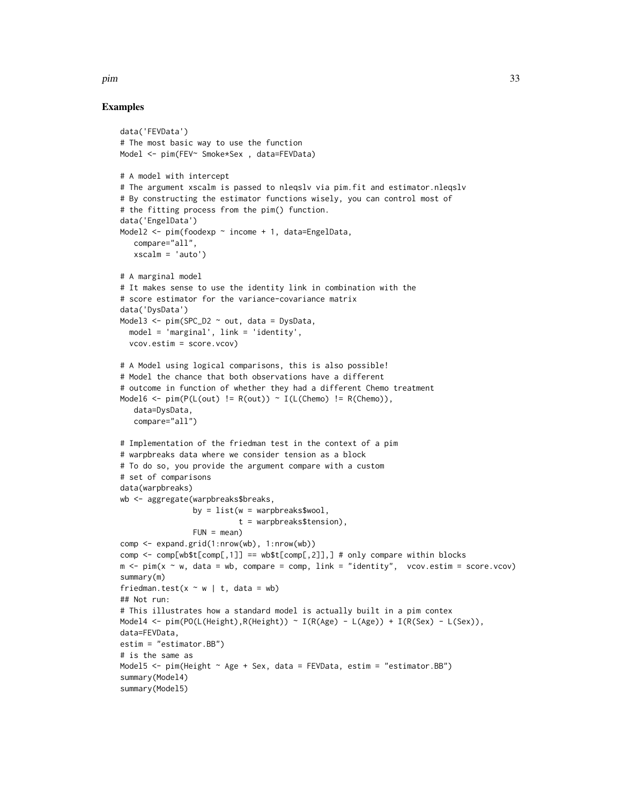## Examples

```
data('FEVData')
# The most basic way to use the function
Model <- pim(FEV~ Smoke*Sex , data=FEVData)
# A model with intercept
# The argument xscalm is passed to nleqslv via pim.fit and estimator.nleqslv
# By constructing the estimator functions wisely, you can control most of
# the fitting process from the pim() function.
data('EngelData')
Model2 <- pim(foodexp ~ income + 1, data=EngelData,
   compare="all",
   xscalm = 'auto')
# A marginal model
# It makes sense to use the identity link in combination with the
# score estimator for the variance-covariance matrix
data('DysData')
Model3 <- pim(SPC_D2 ~ out, data = DysData,
  model = 'marginal', link = 'identity',
  vcov.estim = score.vcov)
# A Model using logical comparisons, this is also possible!
# Model the chance that both observations have a different
# outcome in function of whether they had a different Chemo treatment
Model6 <- pim(P(L(out) != R(out)) ~ I(L(Chemo) != R(Chemo)),
   data=DysData,
   compare="all")
# Implementation of the friedman test in the context of a pim
# warpbreaks data where we consider tension as a block
# To do so, you provide the argument compare with a custom
# set of comparisons
data(warpbreaks)
wb <- aggregate(warpbreaks$breaks,
                  by = list(w = warphreaks$wood).
                             t = warpbreaks$tension),
                  FUN = mean)comp <- expand.grid(1:nrow(wb), 1:nrow(wb))
comp \leq comp[wb$t[comp[,1]] == wb$t[comp[,2]],] # only compare within blocks
m \leq -\text{pim}(x \sim w, \text{ data} = wb, \text{ compare} = \text{comp}, \text{link} = \text{"identity", \text{vcov}.\text{estim} = \text{score}.\text{vcov})}summary(m)
friedman.test(x \sim w | t, data = wb)
## Not run:
# This illustrates how a standard model is actually built in a pim contex
Model4 <- \text{pim}(\text{PO}(\text{L}(\text{Height}), \text{R}(\text{Height})) \sim \text{I}(\text{R}(\text{Age}) - \text{L}(\text{Age})) + \text{I}(\text{R}(\text{Sex}) - \text{L}(\text{Sex})),data=FEVData,
estim = "estimator.BB")
# is the same as
Model5 <- pim(Height ~ Age + Sex, data = FEVData, estim = "estimator.BB")
summary(Model4)
summary(Model5)
```
pim 33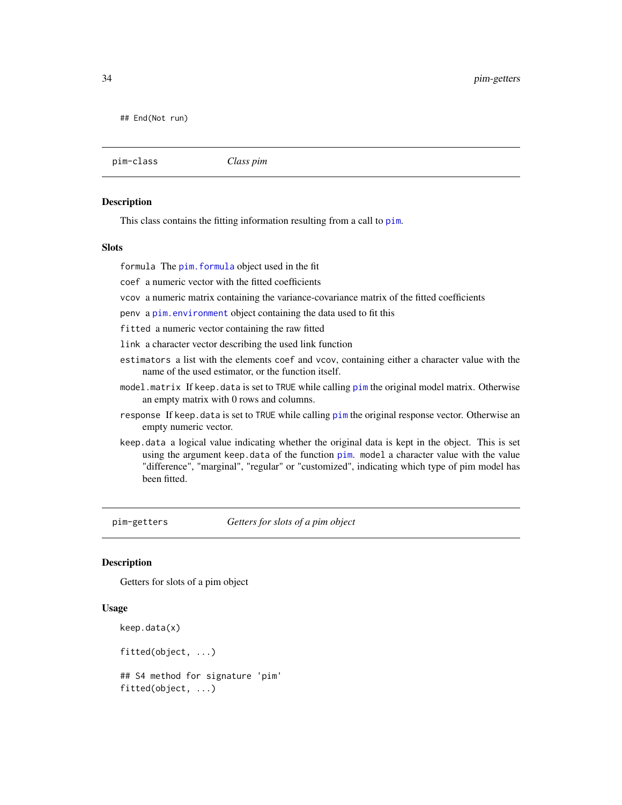<span id="page-33-0"></span>## End(Not run)

<span id="page-33-1"></span>pim-class *Class pim*

## Description

This class contains the fitting information resulting from a call to [pim](#page-30-1).

#### Slots

formula The [pim.formula](#page-36-1) object used in the fit

coef a numeric vector with the fitted coefficients

vcov a numeric matrix containing the variance-covariance matrix of the fitted coefficients

penv a [pim.environment](#page-34-1) object containing the data used to fit this

fitted a numeric vector containing the raw fitted

link a character vector describing the used link function

- estimators a list with the elements coef and vcov, containing either a character value with the name of the used estimator, or the function itself.
- model.matrix If keep.data is set to TRUE while calling [pim](#page-30-1) the original model matrix. Otherwise an empty matrix with 0 rows and columns.
- response If keep. data is set to TRUE while calling [pim](#page-30-1) the original response vector. Otherwise an empty numeric vector.
- keep.data a logical value indicating whether the original data is kept in the object. This is set using the argument keep.data of the function [pim](#page-30-1). model a character value with the value "difference", "marginal", "regular" or "customized", indicating which type of pim model has been fitted.

<span id="page-33-2"></span>pim-getters *Getters for slots of a pim object*

### Description

Getters for slots of a pim object

## Usage

```
keep.data(x)
```
fitted(object, ...)

## S4 method for signature 'pim' fitted(object, ...)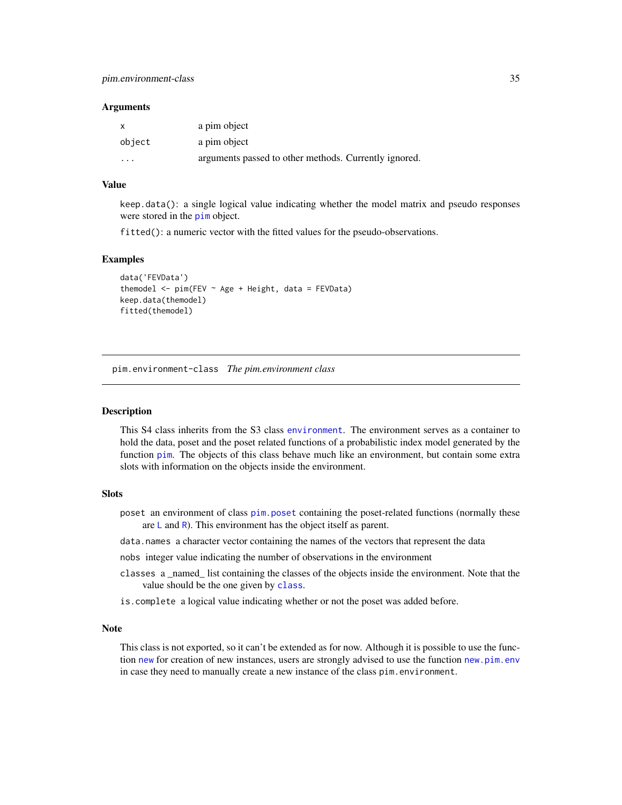#### <span id="page-34-0"></span>Arguments

| X       | a pim object                                          |
|---------|-------------------------------------------------------|
| object  | a pim object                                          |
| $\cdot$ | arguments passed to other methods. Currently ignored. |

#### Value

keep.data(): a single logical value indicating whether the model matrix and pseudo responses were stored in the [pim](#page-30-1) object.

fitted(): a numeric vector with the fitted values for the pseudo-observations.

#### Examples

```
data('FEVData')
themodel \le pim(FEV \sim Age + Height, data = FEVData)
keep.data(themodel)
fitted(themodel)
```
<span id="page-34-2"></span>pim.environment-class *The pim.environment class*

#### <span id="page-34-1"></span>Description

This S4 class inherits from the S3 class [environment](#page-0-0). The environment serves as a container to hold the data, poset and the poset related functions of a probabilistic index model generated by the function [pim](#page-30-1). The objects of this class behave much like an environment, but contain some extra slots with information on the objects inside the environment.

#### **Slots**

- poset an environment of class [pim.poset](#page-37-1) containing the poset-related functions (normally these are  $\mathsf{L}$  $\mathsf{L}$  $\mathsf{L}$  and [R](#page-19-2)). This environment has the object itself as parent.
- data.names a character vector containing the names of the vectors that represent the data

nobs integer value indicating the number of observations in the environment

- classes a \_named\_ list containing the classes of the objects inside the environment. Note that the value should be the one given by [class](#page-0-0).
- is.complete a logical value indicating whether or not the poset was added before.

#### Note

This class is not exported, so it can't be extended as for now. Although it is possible to use the function [new](#page-0-0) for creation of new instances, users are strongly advised to use the function [new.pim.env](#page-22-1) in case they need to manually create a new instance of the class pim.environment.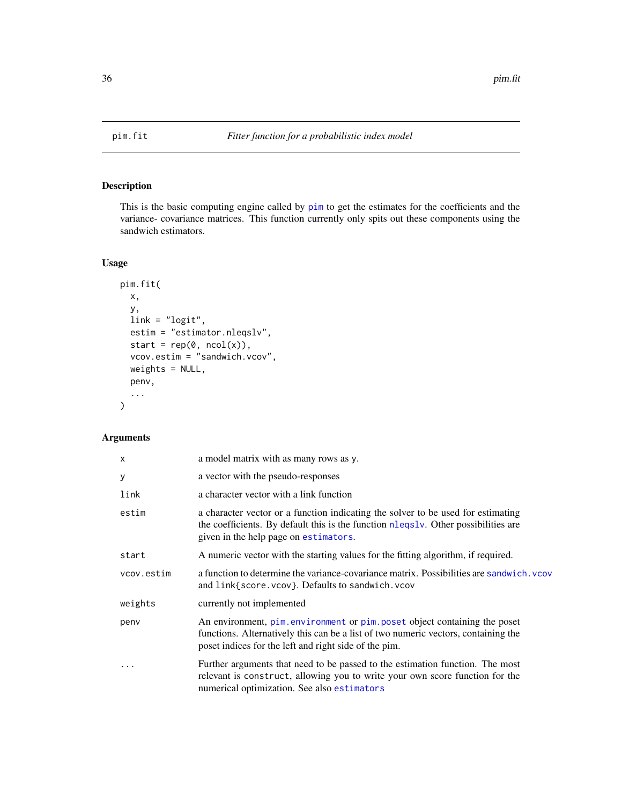<span id="page-35-1"></span><span id="page-35-0"></span>

## Description

This is the basic computing engine called by [pim](#page-30-1) to get the estimates for the coefficients and the variance- covariance matrices. This function currently only spits out these components using the sandwich estimators.

## Usage

```
pim.fit(
 x,
  y,
 link = "logit",
 estim = "estimator.nleqslv",
 start = rep(\emptyset, ncol(x)),vcov.estim = "sandwich.vcov",
 weights = NULL,
 penv,
  ...
)
```
## Arguments

| $\boldsymbol{\mathsf{x}}$ | a model matrix with as many rows as y.                                                                                                                                                                                  |
|---------------------------|-------------------------------------------------------------------------------------------------------------------------------------------------------------------------------------------------------------------------|
| y                         | a vector with the pseudo-responses                                                                                                                                                                                      |
| link                      | a character vector with a link function                                                                                                                                                                                 |
| estim                     | a character vector or a function indicating the solver to be used for estimating<br>the coefficients. By default this is the function nlegsly. Other possibilities are<br>given in the help page on estimators.         |
| start                     | A numeric vector with the starting values for the fitting algorithm, if required.                                                                                                                                       |
| vcov.estim                | a function to determine the variance-covariance matrix. Possibilities are sandwich. vcov<br>and link{score.vcov}. Defaults to sandwich.vcov                                                                             |
| weights                   | currently not implemented                                                                                                                                                                                               |
| penv                      | An environment, pim.environment or pim.poset object containing the poset<br>functions. Alternatively this can be a list of two numeric vectors, containing the<br>poset indices for the left and right side of the pim. |
| .                         | Further arguments that need to be passed to the estimation function. The most<br>relevant is construct, allowing you to write your own score function for the<br>numerical optimization. See also estimators            |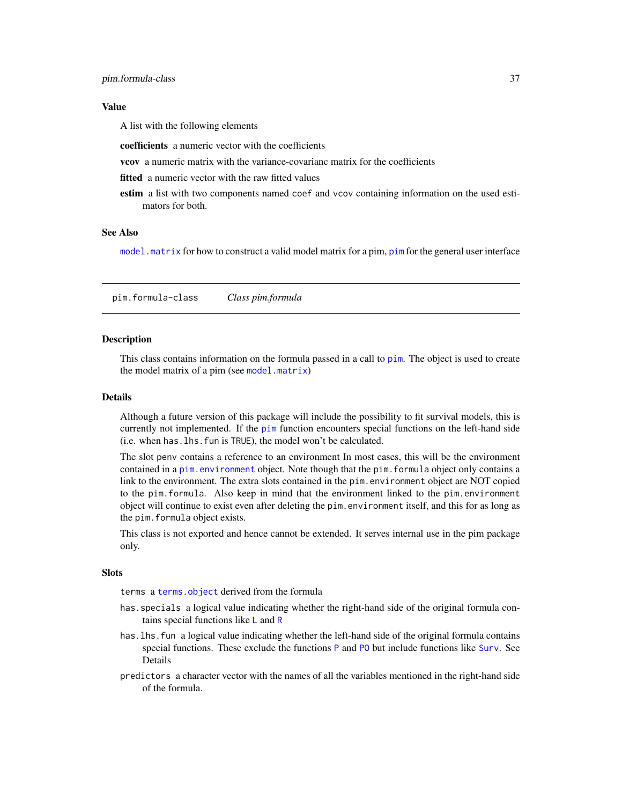## <span id="page-36-0"></span>Value

A list with the following elements

coefficients a numeric vector with the coefficients

- vcov a numeric matrix with the variance-covarianc matrix for the coefficients
- **fitted** a numeric vector with the raw fitted values
- estim a list with two components named coef and vcov containing information on the used estimators for both.

## See Also

[model.matrix](#page-20-1) for how to construct a valid model matrix for a pim, [pim](#page-30-1) for the general user interface

<span id="page-36-2"></span>pim.formula-class *Class pim.formula*

#### <span id="page-36-1"></span>Description

This class contains information on the formula passed in a call to [pim](#page-30-1). The object is used to create the model matrix of a pim (see [model.matrix](#page-20-1))

## Details

Although a future version of this package will include the possibility to fit survival models, this is currently not implemented. If the [pim](#page-30-1) function encounters special functions on the left-hand side (i.e. when has.lhs.fun is TRUE), the model won't be calculated.

The slot penv contains a reference to an environment In most cases, this will be the environment contained in a [pim.environment](#page-34-1) object. Note though that the pim.formula object only contains a link to the environment. The extra slots contained in the pim.environment object are NOT copied to the pim.formula. Also keep in mind that the environment linked to the pim.environment object will continue to exist even after deleting the pim.environment itself, and this for as long as the pim.formula object exists.

This class is not exported and hence cannot be extended. It serves internal use in the pim package only.

#### Slots

terms a [terms.object](#page-0-0) derived from the formula

- has.specials a logical value indicating whether the right-hand side of the original formula contains special functions like  $\mathsf{L}$  $\mathsf{L}$  $\mathsf{L}$  and  $\mathsf{R}$  $\mathsf{R}$  $\mathsf{R}$
- has. lhs. fun a logical value indicating whether the left-hand side of the original formula contains special functions. These exclude the functions [P](#page-28-2) and P0 but include functions like [Surv](#page-0-0). See Details
- predictors a character vector with the names of all the variables mentioned in the right-hand side of the formula.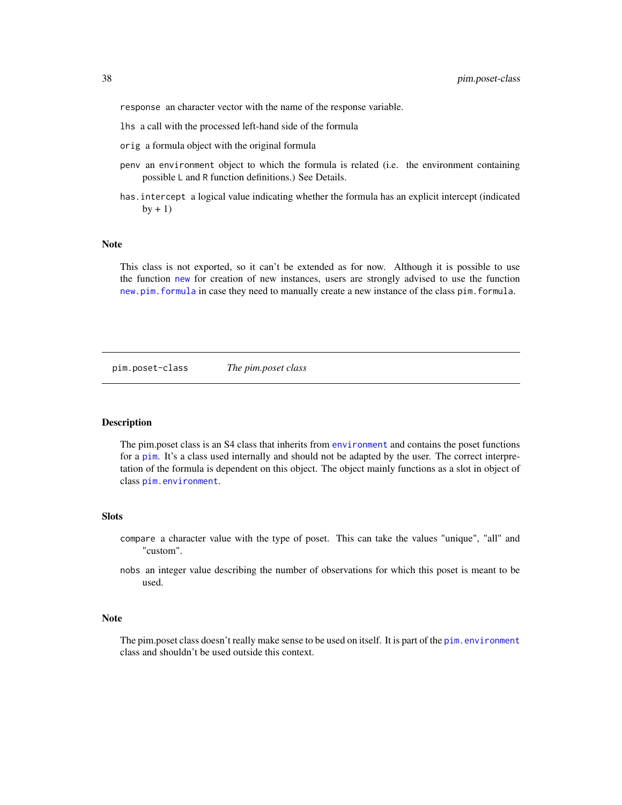<span id="page-37-0"></span>response an character vector with the name of the response variable.

- lhs a call with the processed left-hand side of the formula
- orig a formula object with the original formula
- penv an environment object to which the formula is related (i.e. the environment containing possible L and R function definitions.) See Details.
- has.intercept a logical value indicating whether the formula has an explicit intercept (indicated  $by + 1)$

#### Note

This class is not exported, so it can't be extended as for now. Although it is possible to use the function [new](#page-0-0) for creation of new instances, users are strongly advised to use the function [new.pim.formula](#page-24-1) in case they need to manually create a new instance of the class pim.formula.

<span id="page-37-2"></span>pim.poset-class *The pim.poset class*

#### <span id="page-37-1"></span>Description

The pim.poset class is an S4 class that inherits from [environment](#page-0-0) and contains the poset functions for a [pim](#page-30-1). It's a class used internally and should not be adapted by the user. The correct interpretation of the formula is dependent on this object. The object mainly functions as a slot in object of class [pim.environment](#page-34-1).

#### **Slots**

- compare a character value with the type of poset. This can take the values "unique", "all" and "custom".
- nobs an integer value describing the number of observations for which this poset is meant to be used.

#### Note

The pim.poset class doesn't really make sense to be used on itself. It is part of the [pim.environment](#page-34-1) class and shouldn't be used outside this context.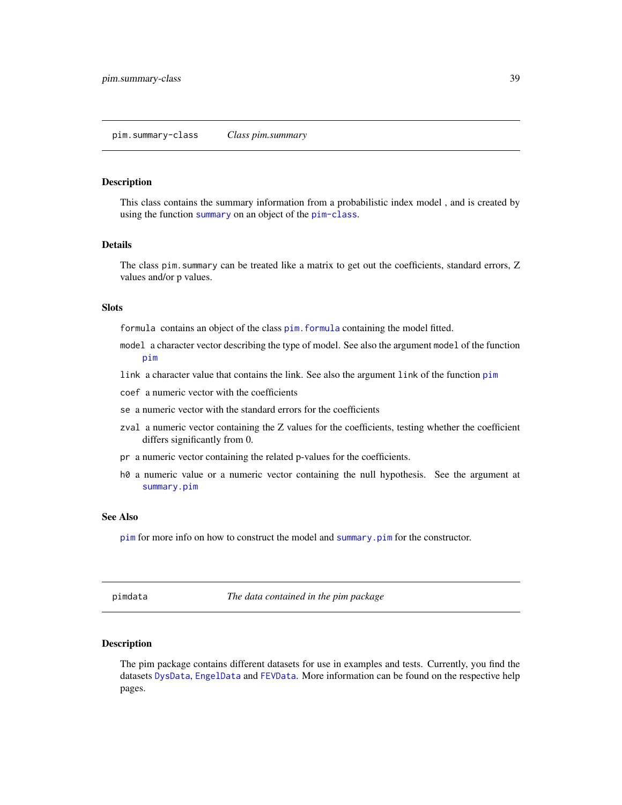#### <span id="page-38-1"></span><span id="page-38-0"></span>pim.summary-class *Class pim.summary*

#### <span id="page-38-2"></span>Description

This class contains the summary information from a probabilistic index model , and is created by using the function [summary](#page-43-1) on an object of the [pim-class](#page-33-1).

## Details

The class pim. summary can be treated like a matrix to get out the coefficients, standard errors, Z values and/or p values.

## Slots

formula contains an object of the class [pim.formula](#page-36-1) containing the model fitted.

- model a character vector describing the type of model. See also the argument model of the function [pim](#page-30-1)
- link a character value that contains the link. See also the argument link of the function [pim](#page-30-1)
- coef a numeric vector with the coefficients
- se a numeric vector with the standard errors for the coefficients
- zval a numeric vector containing the Z values for the coefficients, testing whether the coefficient differs significantly from 0.
- pr a numeric vector containing the related p-values for the coefficients.
- h0 a numeric value or a numeric vector containing the null hypothesis. See the argument at [summary.pim](#page-43-2)

#### See Also

[pim](#page-30-1) for more info on how to construct the model and [summary.pim](#page-43-2) for the constructor.

pimdata *The data contained in the pim package*

#### Description

The pim package contains different datasets for use in examples and tests. Currently, you find the datasets [DysData](#page-10-1), [EngelData](#page-10-2) and [FEVData](#page-14-2). More information can be found on the respective help pages.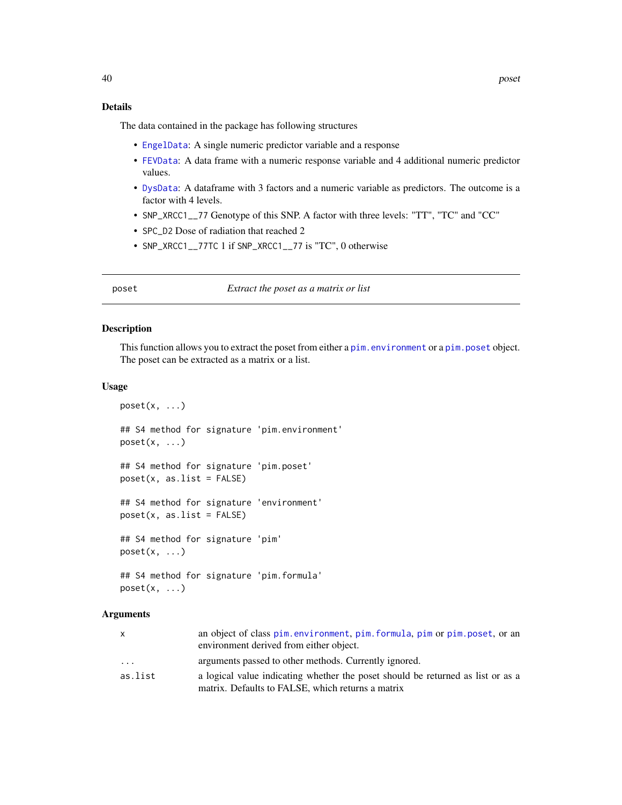## <span id="page-39-0"></span>Details

The data contained in the package has following structures

- [EngelData](#page-10-2): A single numeric predictor variable and a response
- [FEVData](#page-14-2): A data frame with a numeric response variable and 4 additional numeric predictor values.
- [DysData](#page-10-1): A dataframe with 3 factors and a numeric variable as predictors. The outcome is a factor with 4 levels.
- SNP\_XRCC1\_\_77 Genotype of this SNP. A factor with three levels: "TT", "TC" and "CC"
- SPC\_D2 Dose of radiation that reached 2
- SNP\_XRCC1\_\_77TC 1 if SNP\_XRCC1\_\_77 is "TC", 0 otherwise

<span id="page-39-1"></span>poset *Extract the poset as a matrix or list*

#### Description

This function allows you to extract the poset from either a [pim.environment](#page-34-1) or a [pim.poset](#page-37-1) object. The poset can be extracted as a matrix or a list.

#### Usage

```
poset(x, \ldots)## S4 method for signature 'pim.environment'
poset(x, \ldots)## S4 method for signature 'pim.poset'
poset(x, as.list = FALSE)## S4 method for signature 'environment'
poset(x, as.list = FALSE)
## S4 method for signature 'pim'
poset(x, \ldots)## S4 method for signature 'pim.formula'
```
 $poset(x, \ldots)$ 

## Arguments

| X       | an object of class pim.environment, pim.formula, pim or pim.poset, or an        |
|---------|---------------------------------------------------------------------------------|
|         | environment derived from either object.                                         |
| $\cdot$ | arguments passed to other methods. Currently ignored.                           |
| as.list | a logical value indicating whether the poset should be returned as list or as a |
|         | matrix. Defaults to FALSE, which returns a matrix                               |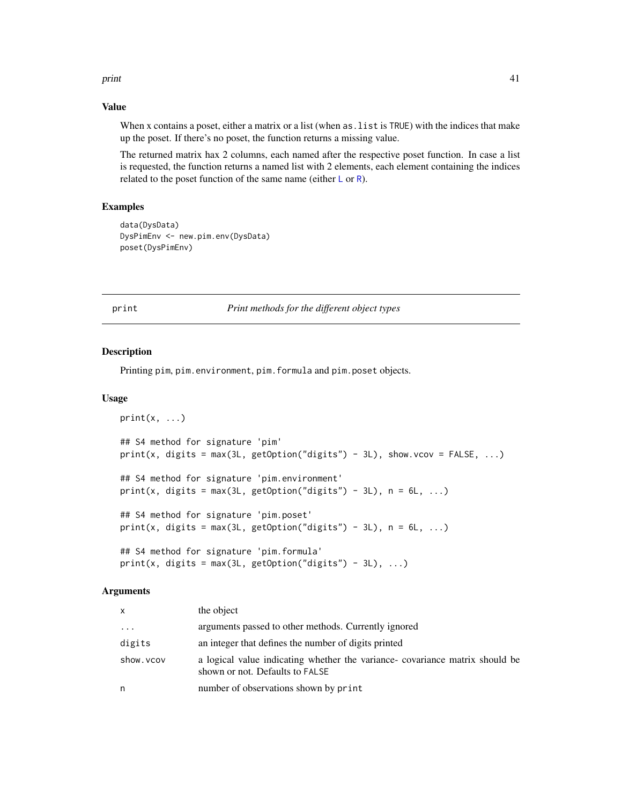#### <span id="page-40-0"></span>print that the contract of the contract of the contract of the contract of the contract of the contract of the contract of the contract of the contract of the contract of the contract of the contract of the contract of the

## Value

When x contains a poset, either a matrix or a list (when as.list is TRUE) with the indices that make up the poset. If there's no poset, the function returns a missing value.

The returned matrix hax 2 columns, each named after the respective poset function. In case a list is requested, the function returns a named list with 2 elements, each element containing the indices related to the poset function of the same name (either  $\mathsf{L}$  $\mathsf{L}$  $\mathsf{L}$  or  $\mathsf{R}$  $\mathsf{R}$  $\mathsf{R}$ ).

## Examples

```
data(DysData)
DysPimEnv <- new.pim.env(DysData)
poset(DysPimEnv)
```
## print *Print methods for the different object types*

## Description

Printing pim, pim.environment, pim.formula and pim.poset objects.

#### Usage

```
print(x, \ldots)## S4 method for signature 'pim'
print(x, digits = max(3L, getOption("digits") - 3L), show.vcov = FALSE, ...)## S4 method for signature 'pim.environment'
print(x, digits = max(3L, getOption("digits") - 3L), n = 6L, ...)## S4 method for signature 'pim.poset'
print(x, digits = max(3L, getOption("digits") - 3L), n = 6L, ...)## S4 method for signature 'pim.formula'
print(x, digits = max(3L, getOption("digits") - 3L), ...)
```
#### Arguments

| x         | the object                                                                                                     |
|-----------|----------------------------------------------------------------------------------------------------------------|
| $\cdots$  | arguments passed to other methods. Currently ignored                                                           |
| digits    | an integer that defines the number of digits printed                                                           |
| show.vcov | a logical value indicating whether the variance-covariance matrix should be<br>shown or not. Defaults to FALSE |
| n         | number of observations shown by print                                                                          |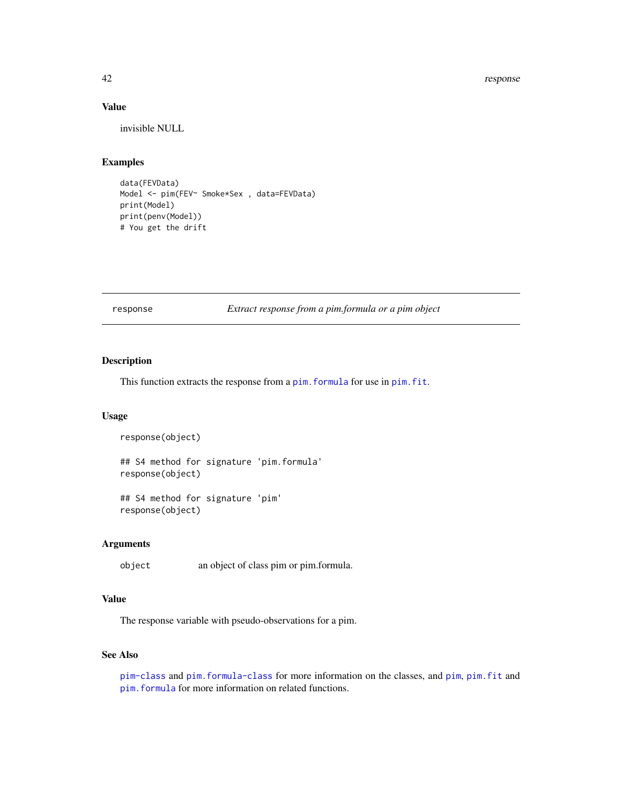#### 42 response

## Value

invisible NULL

## Examples

```
data(FEVData)
Model <- pim(FEV~ Smoke*Sex , data=FEVData)
print(Model)
print(penv(Model))
# You get the drift
```
<span id="page-41-1"></span>response *Extract response from a pim.formula or a pim object*

## Description

This function extracts the response from a pim. formula for use in pim. fit.

## Usage

```
response(object)
```
## S4 method for signature 'pim.formula' response(object)

## S4 method for signature 'pim' response(object)

## Arguments

object an object of class pim or pim.formula.

## Value

The response variable with pseudo-observations for a pim.

## See Also

```
pim-class and pim.formula-class for more information on the classes, and pim, pim.fit and
pim.formula for more information on related functions.
```
<span id="page-41-0"></span>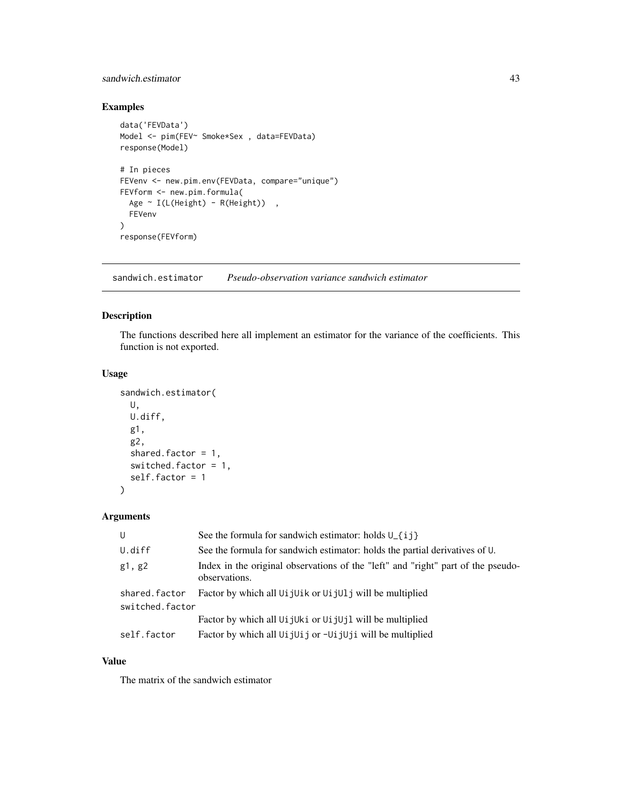## <span id="page-42-0"></span>sandwich.estimator 43

## Examples

```
data('FEVData')
Model <- pim(FEV~ Smoke*Sex , data=FEVData)
response(Model)
# In pieces
FEVenv <- new.pim.env(FEVData, compare="unique")
FEVform <- new.pim.formula(
  Age \sim I(L(Height) - R(Height)),
  FEVenv
)
response(FEVform)
```
<span id="page-42-1"></span>sandwich.estimator *Pseudo-observation variance sandwich estimator*

## <span id="page-42-2"></span>Description

The functions described here all implement an estimator for the variance of the coefficients. This function is not exported.

## Usage

```
sandwich.estimator(
 U,
 U.diff,
  g1,
  g2,
  shared.factor = 1,
  switched.factor = 1,
  self.factor = 1
)
```
## Arguments

| U                                | See the formula for sandwich estimator: holds $U_{\text{-}}\{i\}$                                          |
|----------------------------------|------------------------------------------------------------------------------------------------------------|
| U.diff                           | See the formula for sandwich estimator: holds the partial derivatives of U.                                |
| g1, g2                           | Index in the original observations of the "left" and "right" part of the pseudo-<br>observations.          |
| shared.factor<br>switched.factor | Factor by which all Ui jUik or Ui jUl j will be multiplied                                                 |
|                                  | Factor by which all U <sub>i</sub> jU <sub>ki</sub> or U <sub>i</sub> jU <sub>j</sub> l will be multiplied |
| self.factor                      | Factor by which all UijUij or -UijUji will be multiplied                                                   |

## Value

The matrix of the sandwich estimator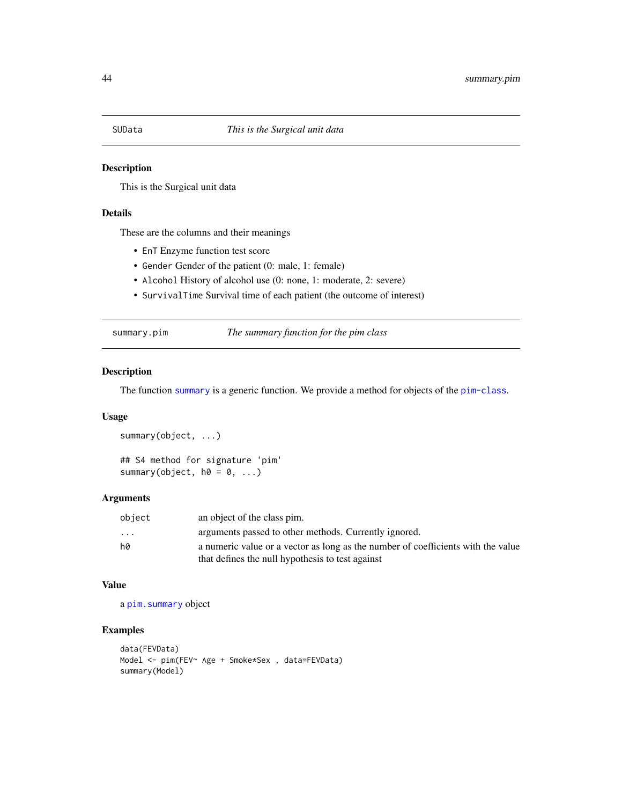<span id="page-43-0"></span>

## Description

This is the Surgical unit data

## Details

These are the columns and their meanings

- EnT Enzyme function test score
- Gender Gender of the patient (0: male, 1: female)
- Alcohol History of alcohol use (0: none, 1: moderate, 2: severe)
- SurvivalTime Survival time of each patient (the outcome of interest)

<span id="page-43-2"></span>summary.pim *The summary function for the pim class*

## <span id="page-43-1"></span>Description

The function [summary](#page-43-1) is a generic function. We provide a method for objects of the [pim-class](#page-33-1).

## Usage

summary(object, ...) ## S4 method for signature 'pim' summary(object,  $h0 = 0, ...$ )

#### Arguments

| object   | an object of the class pim.                                                      |
|----------|----------------------------------------------------------------------------------|
| $\cdots$ | arguments passed to other methods. Currently ignored.                            |
| h0       | a numeric value or a vector as long as the number of coefficients with the value |
|          | that defines the null hypothesis to test against                                 |

#### Value

a [pim.summary](#page-38-2) object

#### Examples

```
data(FEVData)
Model <- pim(FEV~ Age + Smoke*Sex , data=FEVData)
summary(Model)
```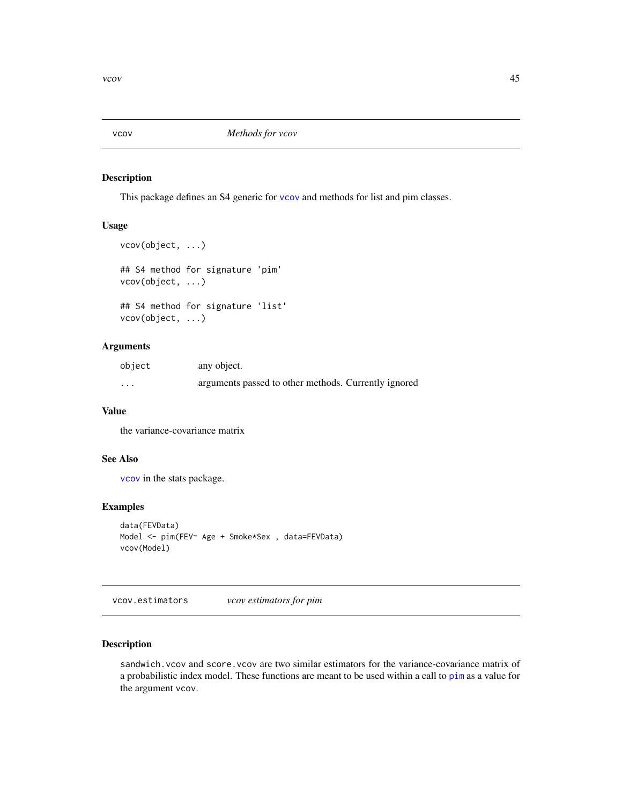<span id="page-44-2"></span><span id="page-44-0"></span>

## Description

This package defines an S4 generic for [vcov](#page-44-2) and methods for list and pim classes.

## Usage

```
vcov(object, ...)
## S4 method for signature 'pim'
vcov(object, ...)
## S4 method for signature 'list'
vcov(object, ...)
```
## Arguments

| object   | any object.                                          |
|----------|------------------------------------------------------|
| $\cdots$ | arguments passed to other methods. Currently ignored |

#### Value

the variance-covariance matrix

## See Also

[vcov](#page-44-2) in the stats package.

#### Examples

```
data(FEVData)
Model <- pim(FEV~ Age + Smoke*Sex , data=FEVData)
vcov(Model)
```
<span id="page-44-1"></span>vcov.estimators *vcov estimators for pim*

## <span id="page-44-3"></span>Description

sandwich. vcov and score. vcov are two similar estimators for the variance-covariance matrix of a probabilistic index model. These functions are meant to be used within a call to [pim](#page-30-1) as a value for the argument vcov.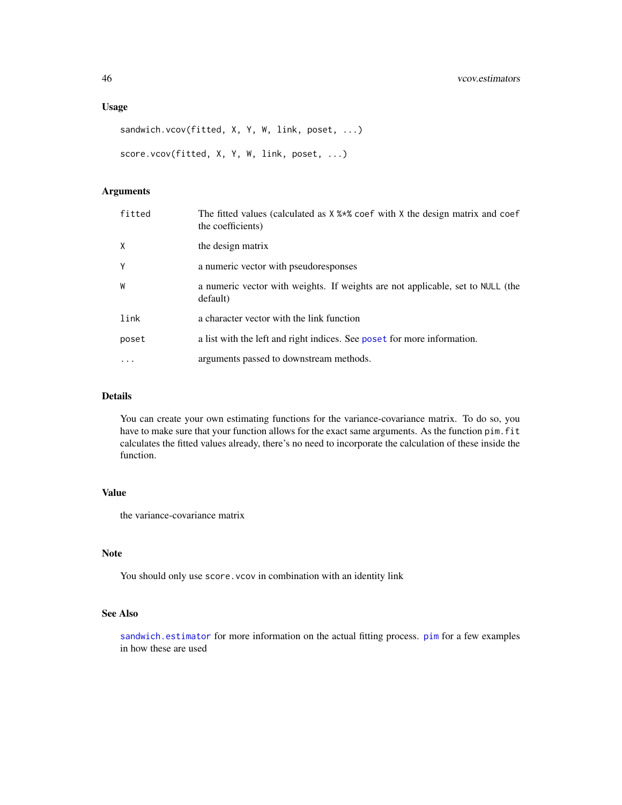## <span id="page-45-0"></span>Usage

```
sandwich.vcov(fitted, X, Y, W, link, poset, ...)
score.vcov(fitted, X, Y, W, link, poset, ...)
```
## Arguments

| fitted       | The fitted values (calculated as $X$ % $*$ % coef with $X$ the design matrix and coef<br>the coefficients) |
|--------------|------------------------------------------------------------------------------------------------------------|
| $\mathsf{X}$ | the design matrix                                                                                          |
| Y            | a numeric vector with pseudoresponses                                                                      |
| W            | a numeric vector with weights. If weights are not applicable, set to NULL (the<br>default)                 |
| link         | a character vector with the link function                                                                  |
| poset        | a list with the left and right indices. See poset for more information.                                    |
| $\ddotsc$    | arguments passed to downstream methods.                                                                    |

#### Details

You can create your own estimating functions for the variance-covariance matrix. To do so, you have to make sure that your function allows for the exact same arguments. As the function pim. fit calculates the fitted values already, there's no need to incorporate the calculation of these inside the function.

## Value

the variance-covariance matrix

## Note

You should only use score. vcov in combination with an identity link

#### See Also

[sandwich.estimator](#page-42-1) for more information on the actual fitting process. [pim](#page-30-1) for a few examples in how these are used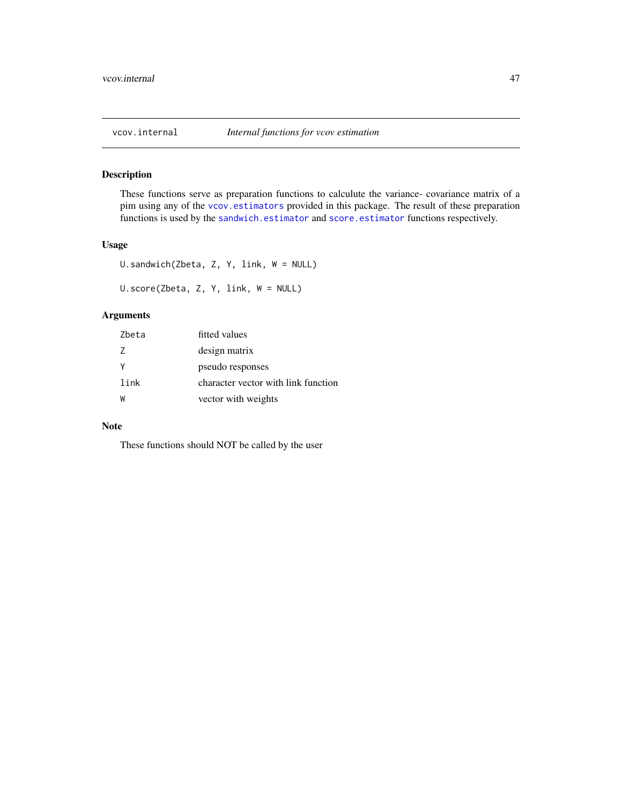<span id="page-46-0"></span>

## Description

These functions serve as preparation functions to calculute the variance- covariance matrix of a pim using any of the [vcov.estimators](#page-44-1) provided in this package. The result of these preparation functions is used by the [sandwich.estimator](#page-42-1) and [score.estimator](#page-42-2) functions respectively.

## Usage

```
U.sandwich(Zbeta, Z, Y, link, W = NULL)
U.score(Zbeta, Z, Y, link, W = NULL)
```
## Arguments

| Zbeta | fitted values                       |
|-------|-------------------------------------|
| 7     | design matrix                       |
| Y     | pseudo responses                    |
| link  | character vector with link function |
| W     | vector with weights                 |

## Note

These functions should NOT be called by the user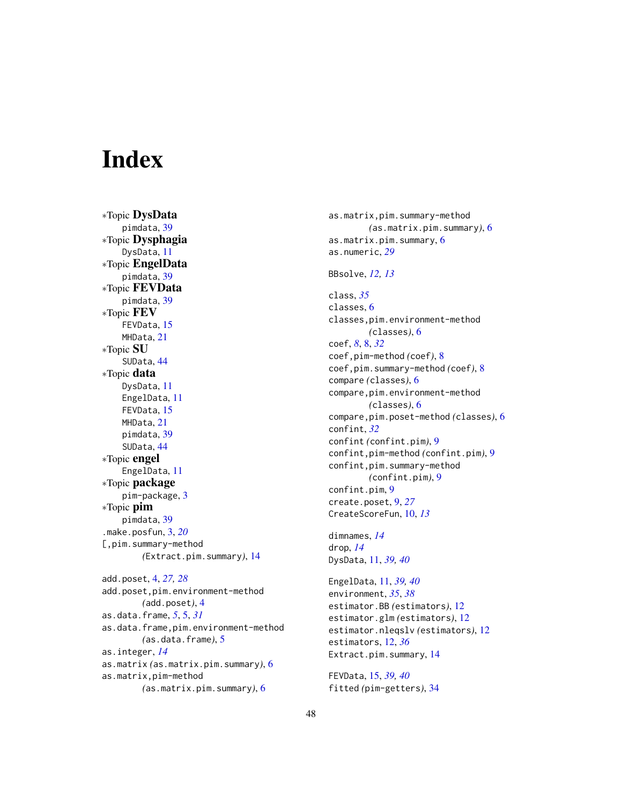# <span id="page-47-0"></span>**Index**

∗Topic DysData pimdata, [39](#page-38-0) ∗Topic Dysphagia DysData, [11](#page-10-0) ∗Topic EngelData pimdata, [39](#page-38-0) ∗Topic FEVData pimdata, [39](#page-38-0) ∗Topic FEV FEVData, [15](#page-14-0) MHData, [21](#page-20-0) ∗Topic SU SUData, [44](#page-43-0) ∗Topic data DysData, [11](#page-10-0) EngelData, [11](#page-10-0) FEVData, [15](#page-14-0) MHData, [21](#page-20-0) pimdata, [39](#page-38-0) SUData, [44](#page-43-0) ∗Topic engel EngelData, [11](#page-10-0) ∗Topic package pim-package, [3](#page-2-0) ∗Topic pim pimdata, [39](#page-38-0) .make.posfun, [3,](#page-2-0) *[20](#page-19-0)* [,pim.summary-method *(*Extract.pim.summary*)*, [14](#page-13-0) add.poset, [4,](#page-3-0) *[27,](#page-26-0) [28](#page-27-0)* add.poset,pim.environment-method *(*add.poset*)*, [4](#page-3-0) as.data.frame, *[5](#page-4-0)*, [5,](#page-4-0) *[31](#page-30-0)* as.data.frame,pim.environment-method *(*as.data.frame*)*, [5](#page-4-0) as.integer, *[14](#page-13-0)* as.matrix *(*as.matrix.pim.summary*)*, [6](#page-5-0) as.matrix,pim-method *(*as.matrix.pim.summary*)*, [6](#page-5-0)

as.matrix,pim.summary-method *(*as.matrix.pim.summary*)*, [6](#page-5-0) as.matrix.pim.summary, [6](#page-5-0) as.numeric, *[29](#page-28-0)* BBsolve, *[12,](#page-11-0) [13](#page-12-0)* class, *[35](#page-34-0)* classes, [6](#page-5-0) classes,pim.environment-method *(*classes*)*, [6](#page-5-0) coef, *[8](#page-7-0)*, [8,](#page-7-0) *[32](#page-31-0)* coef,pim-method *(*coef*)*, [8](#page-7-0) coef,pim.summary-method *(*coef*)*, [8](#page-7-0) compare *(*classes*)*, [6](#page-5-0) compare,pim.environment-method *(*classes*)*, [6](#page-5-0) compare,pim.poset-method *(*classes*)*, [6](#page-5-0) confint, *[32](#page-31-0)* confint *(*confint.pim*)*, [9](#page-8-0) confint,pim-method *(*confint.pim*)*, [9](#page-8-0) confint,pim.summary-method *(*confint.pim*)*, [9](#page-8-0) confint.pim, [9](#page-8-0) create.poset, [9,](#page-8-0) *[27](#page-26-0)* CreateScoreFun, [10,](#page-9-0) *[13](#page-12-0)* dimnames, *[14](#page-13-0)* drop, *[14](#page-13-0)* DysData, [11,](#page-10-0) *[39,](#page-38-0) [40](#page-39-0)* EngelData, [11,](#page-10-0) *[39,](#page-38-0) [40](#page-39-0)* environment, *[35](#page-34-0)*, *[38](#page-37-0)* estimator.BB *(*estimators*)*, [12](#page-11-0) estimator.glm *(*estimators*)*, [12](#page-11-0) estimator.nleqslv *(*estimators*)*, [12](#page-11-0) estimators, [12,](#page-11-0) *[36](#page-35-0)* Extract.pim.summary, [14](#page-13-0) FEVData, [15,](#page-14-0) *[39,](#page-38-0) [40](#page-39-0)*

fitted *(*pim-getters*)*, [34](#page-33-0)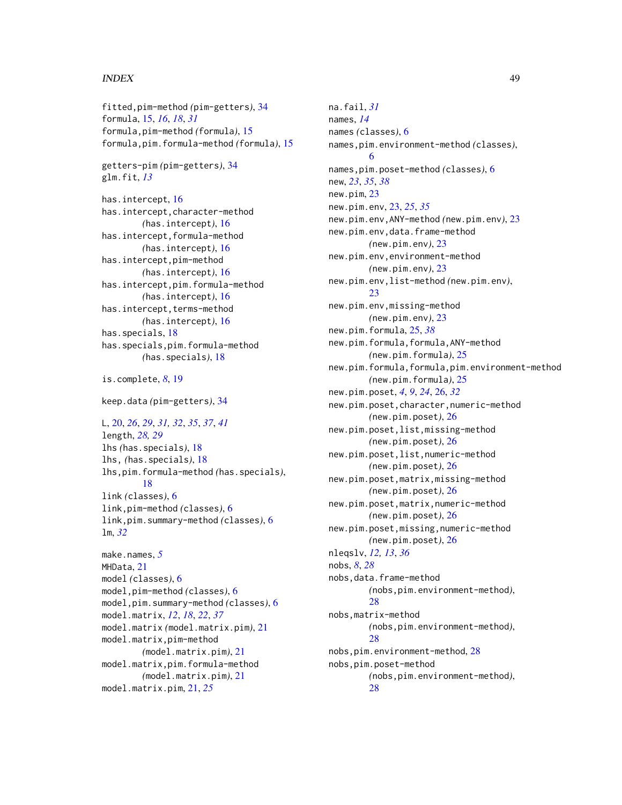#### INDEX 49

fitted,pim-method *(*pim-getters*)*, [34](#page-33-0) formula, [15,](#page-14-0) *[16](#page-15-0)*, *[18](#page-17-0)*, *[31](#page-30-0)* formula,pim-method *(*formula*)*, [15](#page-14-0) formula,pim.formula-method *(*formula*)*, [15](#page-14-0) getters-pim *(*pim-getters*)*, [34](#page-33-0) glm.fit, *[13](#page-12-0)* has.intercept, [16](#page-15-0) has.intercept,character-method *(*has.intercept*)*, [16](#page-15-0) has.intercept,formula-method *(*has.intercept*)*, [16](#page-15-0) has.intercept,pim-method *(*has.intercept*)*, [16](#page-15-0) has.intercept,pim.formula-method *(*has.intercept*)*, [16](#page-15-0) has.intercept, terms-method *(*has.intercept*)*, [16](#page-15-0) has.specials, [18](#page-17-0) has.specials,pim.formula-method *(*has.specials*)*, [18](#page-17-0) is.complete, *[8](#page-7-0)*, [19](#page-18-0) keep.data *(*pim-getters*)*, [34](#page-33-0) L, [20,](#page-19-0) *[26](#page-25-0)*, *[29](#page-28-0)*, *[31,](#page-30-0) [32](#page-31-0)*, *[35](#page-34-0)*, *[37](#page-36-0)*, *[41](#page-40-0)* length, *[28,](#page-27-0) [29](#page-28-0)* lhs *(*has.specials*)*, [18](#page-17-0) lhs, *(*has.specials*)*, [18](#page-17-0) lhs,pim.formula-method *(*has.specials*)*, [18](#page-17-0) link *(*classes*)*, [6](#page-5-0) link,pim-method *(*classes*)*, [6](#page-5-0) link,pim.summary-method *(*classes*)*, [6](#page-5-0) lm, *[32](#page-31-0)* make.names, *[5](#page-4-0)* MHData, [21](#page-20-0) model *(*classes*)*, [6](#page-5-0) model,pim-method *(*classes*)*, [6](#page-5-0) model,pim.summary-method *(*classes*)*, [6](#page-5-0) model.matrix, *[12](#page-11-0)*, *[18](#page-17-0)*, *[22](#page-21-0)*, *[37](#page-36-0)* model.matrix *(*model.matrix.pim*)*, [21](#page-20-0) model.matrix,pim-method *(*model.matrix.pim*)*, [21](#page-20-0) model.matrix,pim.formula-method *(*model.matrix.pim*)*, [21](#page-20-0)

model.matrix.pim, [21,](#page-20-0) *[25](#page-24-0)*

na.fail, *[31](#page-30-0)* names, *[14](#page-13-0)* names *(*classes*)*, [6](#page-5-0) names,pim.environment-method *(*classes*)*, [6](#page-5-0) names,pim.poset-method *(*classes*)*, [6](#page-5-0) new, *[23](#page-22-0)*, *[35](#page-34-0)*, *[38](#page-37-0)* new.pim, [23](#page-22-0) new.pim.env, [23,](#page-22-0) *[25](#page-24-0)*, *[35](#page-34-0)* new.pim.env,ANY-method *(*new.pim.env*)*, [23](#page-22-0) new.pim.env,data.frame-method *(*new.pim.env*)*, [23](#page-22-0) new.pim.env,environment-method *(*new.pim.env*)*, [23](#page-22-0) new.pim.env,list-method *(*new.pim.env*)*, [23](#page-22-0) new.pim.env,missing-method *(*new.pim.env*)*, [23](#page-22-0) new.pim.formula, [25,](#page-24-0) *[38](#page-37-0)* new.pim.formula,formula,ANY-method *(*new.pim.formula*)*, [25](#page-24-0) new.pim.formula,formula,pim.environment-method *(*new.pim.formula*)*, [25](#page-24-0) new.pim.poset, *[4](#page-3-0)*, *[9](#page-8-0)*, *[24](#page-23-0)*, [26,](#page-25-0) *[32](#page-31-0)* new.pim.poset,character,numeric-method *(*new.pim.poset*)*, [26](#page-25-0) new.pim.poset,list,missing-method *(*new.pim.poset*)*, [26](#page-25-0) new.pim.poset,list,numeric-method *(*new.pim.poset*)*, [26](#page-25-0) new.pim.poset,matrix,missing-method *(*new.pim.poset*)*, [26](#page-25-0) new.pim.poset,matrix,numeric-method *(*new.pim.poset*)*, [26](#page-25-0) new.pim.poset,missing,numeric-method *(*new.pim.poset*)*, [26](#page-25-0) nleqslv, *[12,](#page-11-0) [13](#page-12-0)*, *[36](#page-35-0)* nobs, *[8](#page-7-0)*, *[28](#page-27-0)* nobs,data.frame-method *(*nobs,pim.environment-method*)*, [28](#page-27-0) nobs,matrix-method *(*nobs,pim.environment-method*)*, [28](#page-27-0) nobs,pim.environment-method, [28](#page-27-0) nobs,pim.poset-method *(*nobs,pim.environment-method*)*, [28](#page-27-0)